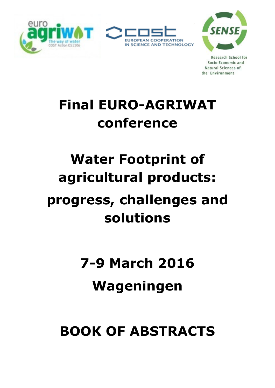



**Research School for** Socio-Economic and Natural Sciences of the Environment

# **Final EURO-AGRIWAT conference**

# **Water Footprint of agricultural products:**

# **progress, challenges and solutions**

# **7-9 March 2016 Wageningen**

# **BOOK OF ABSTRACTS**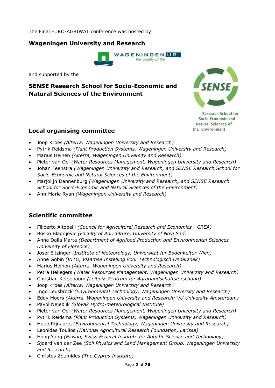The Final EURO-AGRIWAT conference was hosted by

## **Wageningen University and Research**



and supported by the

# **SENSE Research School for Socio-Economic and Natural Sciences of the Environment**



**Research School for** Socio-Economic and Natural Sciences of the Environment

## **Local organising committee**

- Joop Kroes *(Alterra, Wageningen University and Research)*
- Pytrik Reidsma *(Plant Production Systems, Wageningen University and Research)*
- Marius Heinen *(Alterra, Wageningen University and Research)*
- Pieter van Oel *(Water Resources Management, Wageningen University and Research)*
- Johan Feenstra *(Wageningen University and Research, and SENSE Research School for Socio-Economic and Natural Sciences of the Environment)*
- Marjolijn Dannenburg *(Wageningen University and Research, and SENSE Research School for Socio-Economic and Natural Sciences of the Environment)*
- Ann-Marie Ryan *(Wageningen University and Research)*

# **Scientific committee**

- Filiberto Altobelli *(Council for Agricultural Research and Economics CREA)*
- Bosko Blagojevic *(Faculty of Agriculture, University of Novi Sad)*
- Anna Dalla Marta *(Department of Agrifood Production and Environmental Sciences University of Florence)*
- Josef Eitzinger *(Institute of Meteorology, Universität für Bodenkultur Wien)*
- Anne Gobin *(VITO, Vlaamse Instelling voor Technologisch Onderzoek)*
- Marius Heinen *(Alterra, Wageningen University and Research)*
- Petra Hellegers *(Water Resources Management, Wageningen University and Research)*
- Christian Kersebaum *(Leibniz-Zentrum für Agrarlandschaftsforschung)*
- Joop Kroes *(Alterra, Wageningen University and Research)*
- Ingo Leusbrock *(Environmental Technology, Wageningen University and Research)*
- Eddy Moors *(Alterra, Wageningen University and Research; VU University Amsterdam)*
- Pavol Nejedlik *(Slovak Hydro-meteorological Institute)*
- Pieter van Oel *(Water Resources Management, Wageningen University and Research)*
- Pytrik Reidsma *(Plant Production Systems, Wageningen University and Research)*
- Huub Rijnaarts *(Environmental Technology, Wageningen University and Research)*
- Leonidas Toulios *(National Agricultural Research Foundation, Larissa)*
- Hong Yang *(Eawag, Swiss Federal Institute for Aquatic Science and Technology)*
- Sjoerd van der Zee *(Soil Physics and Land Management Group, Wageningen University and Research)*
- Christos Zoumides *(The Cyprus Institute)*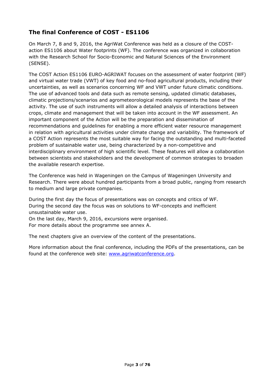# **The final Conference of COST - ES1106**

On March 7, 8 and 9, 2016, the AgriWat Conference was held as a closure of the COSTaction ES1106 about Water footprints (WF). The conference was organized in collaboration with the Research School for Socio-Economic and Natural Sciences of the Environment (SENSE).

The COST Action ES1106 EURO-AGRIWAT focuses on the assessment of water footprint (WF) and virtual water trade (VWT) of key food and no-food agricultural products, including their uncertainties, as well as scenarios concerning WF and VWT under future climatic conditions. The use of advanced tools and data such as remote sensing, updated climatic databases, climatic projections/scenarios and agrometeorological models represents the base of the activity. The use of such instruments will allow a detailed analysis of interactions between crops, climate and management that will be taken into account in the WF assessment. An important component of the Action will be the preparation and dissemination of recommendations and guidelines for enabling a more efficient water resource management in relation with agricultural activities under climate change and variability. The framework of a COST Action represents the most suitable way for facing the outstanding and multi-faceted problem of sustainable water use, being characterized by a non-competitive and interdisciplinary environment of high scientific level. These features will allow a collaboration between scientists and stakeholders and the development of common strategies to broaden the available research expertise.

The Conference was held in Wageningen on the Campus of Wageningen University and Research. There were about hundred participants from a broad public, ranging from research to medium and large private companies.

During the first day the focus of presentations was on concepts and critics of WF. During the second day the focus was on solutions to WF-concepts and inefficient unsustainable water use.

On the last day, March 9, 2016, excursions were organised. For more details about the programme see annex A.

The next chapters give an overview of the content of the presentations.

More information about the final conference, including the PDFs of the presentations, can be found at the conference web site: www.agriwatconference.org.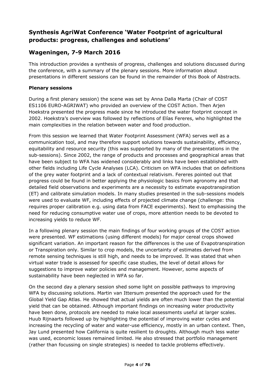# **Synthesis AgriWat Conference 'Water Footprint of agricultural products: progress, challenges and solutions'**

# **Wageningen, 7-9 March 2016**

This introduction provides a synthesis of progress, challenges and solutions discussed during the conference, with a summary of the plenary sessions. More information about presentations in different sessions can be found in the remainder of this Book of Abstracts.

#### **Plenary sessions**

During a first plenary session) the scene was set by Anna Dalla Marta (Chair of COST ES1106 EURO-AGRIWAT) who provided an overview of the COST Action. Then Arjen Hoekstra presented the progress made since he introduced the water footprint concept in 2002. Hoekstra's overview was followed by reflections of Elías Fereres, who highlighted the main complexities in the relation between water and food production.

From this session we learned that Water Footprint Assessment (WFA) serves well as a communication tool, and may therefore support solutions towards sustainability, efficiency, equitability and resource security (this was supported by many of the presentations in the sub-sessions). Since 2002, the range of products and processes and geographical areas that have been subject to WFA has widened considerably and links have been established with other fields including Life Cycle Analyses (LCA). Criticism on WFA includes that on definitions of the grey water footprint and a lack of contextual relativism. Fereres pointed out that progress could be found in better applying the physiologic basics from agronomy and that detailed field observations and experiments are a necessity to estimate evapotranspiration (ET) and calibrate simulation models. In many studies presented in the sub-sessions models were used to evaluate WF, including effects of projected climate change (challenge: this requires proper calibration e.g. using data from FACE experiments). Next to emphasising the need for reducing consumptive water use of crops, more attention needs to be devoted to increasing yields to reduce WF.

In a following plenary session the main findings of four working groups of the COST action were presented. WF estimations (using different models) for major cereal crops showed significant variation. An important reason for the differences is the use of Evapotranspiration or Transpiration only. Similar to crop models, the uncertainty of estimates derived from remote sensing techniques is still high, and needs to be improved. It was stated that when virtual water trade is assessed for specific case studies, the level of detail allows for suggestions to improve water policies and management. However, some aspects of sustainability have been neglected in WFA so far.

On the second day a plenary session shed some light on possible pathways to improving WFA by discussing solutions. Martin van Ittersum presented the approach used for the Global Yield Gap Atlas. He showed that actual yields are often much lower than the potential yield that can be obtained. Although important findings on increasing water productivity have been done, protocols are needed to make local assessments useful at larger scales. Huub Rijnaarts followed up by highlighting the potential of improving water cycles and increasing the recycling of water and water-use efficiency, mostly in an urban context. Then, Jay Lund presented how California is quite resilient to droughts. Although much less water was used, economic losses remained limited. He also stressed that portfolio management (rather than focussing on single strategies) is needed to tackle problems effectively.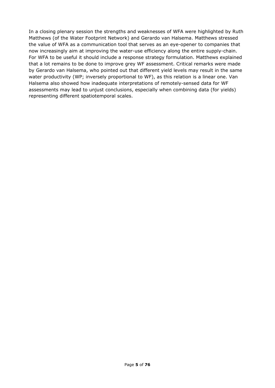In a closing plenary session the strengths and weaknesses of WFA were highlighted by Ruth Matthews (of the Water Footprint Network) and Gerardo van Halsema. Matthews stressed the value of WFA as a communication tool that serves as an eye-opener to companies that now increasingly aim at improving the water-use efficiency along the entire supply-chain. For WFA to be useful it should include a response strategy formulation. Matthews explained that a lot remains to be done to improve grey WF assessment. Critical remarks were made by Gerardo van Halsema, who pointed out that different yield levels may result in the same water productivity (WP; inversely proportional to WF), as this relation is a linear one. Van Halsema also showed how inadequate interpretations of remotely-sensed data for WF assessments may lead to unjust conclusions, especially when combining data (for yields) representing different spatiotemporal scales.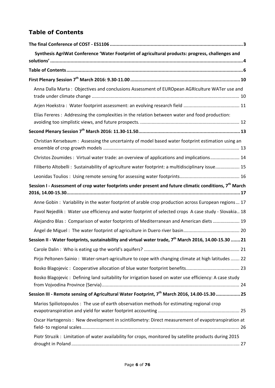# **Table of Contents**

| Synthesis AgriWat Conference 'Water Footprint of agricultural products: progress, challenges and                    |
|---------------------------------------------------------------------------------------------------------------------|
|                                                                                                                     |
|                                                                                                                     |
|                                                                                                                     |
| Anna Dalla Marta: Objectives and conclusions Assessment of EUROpean AGRIculture WATer use and                       |
|                                                                                                                     |
| Elías Fereres : Addressing the complexities in the relation between water and food production:                      |
|                                                                                                                     |
| Christian Kersebaum: Assessing the uncertainty of model based water footprint estimation using an                   |
| Christos Zoumides: Virtual water trade: an overview of applications and implications 14                             |
| Filiberto Altobelli: Sustainability of agriculture water footprint: a multidisciplinary issue 15                    |
|                                                                                                                     |
| Session I - Assessment of crop water footprints under present and future climatic conditions, 7 <sup>th</sup> March |
| Anne Gobin: Variability in the water footprint of arable crop production across European regions 17                 |
| Pavol Nejedlik: Water use efficiency and water footprint of selected crops A case study - Slovakia 18               |
| Alejandro Blas: Comparison of water footprints of Mediterranean and American diets 19                               |
|                                                                                                                     |
| Session II - Water footprints, sustainability and virtual water trade, 7 <sup>th</sup> March 2016, 14.00-15.30  21  |
|                                                                                                                     |
| Pirjo Peltonen-Sainio: Water-smart-agriculture to cope with changing climate at high latitudes  22                  |
|                                                                                                                     |
| Bosko Blagojevic: Defining land suitability for irrigation based on water use efficiency: A case study              |
| Session III - Remote sensing of Agricultural Water Footprint, 7 <sup>th</sup> March 2016, 14.00-15.30  25           |
| Marios Spiliotopoulos: The use of earth observation methods for estimating regional crop                            |
| Oscar Hartogensis: New development in scintillometry: Direct measurement of evapotranspiration at                   |
| Piotr Struzik: Limitation of water availability for crops, monitored by satellite products during 2015              |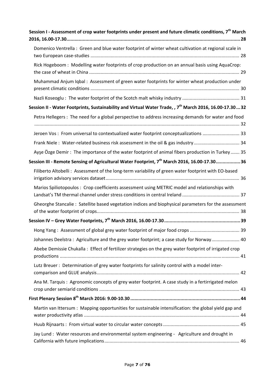| Session I - Assessment of crop water footprints under present and future climatic conditions, 7 <sup>th</sup> March |
|---------------------------------------------------------------------------------------------------------------------|
| Domenico Ventrella: Green and blue water footprint of winter wheat cultivation at regional scale in                 |
| Rick Hogeboom: Modelling water footprints of crop production on an annual basis using AquaCrop:                     |
| Muhammad Anjum Iqbal: Assessment of green water footprints for winter wheat production under                        |
|                                                                                                                     |
| Session II - Water Footprints, Sustainability and Virtual Water Trade, , 7 <sup>th</sup> March 2016, 16.00-17.3032  |
| Petra Hellegers: The need for a global perspective to address increasing demands for water and food                 |
| Jeroen Vos : From universal to contextualized water footprint conceptualizations  33                                |
| Frank Niele: Water-related business risk assessment in the oil & gas industry 34                                    |
| Ayse Özge Demir: The importance of the water footprint of animal fibers production in Turkey 35                     |
| Session III - Remote Sensing of Agricultural Water Footprint, 7 <sup>th</sup> March 2016, 16.00-17.3036             |
| Filiberto Altobelli: Assessment of the long-term variability of green water footprint with EO-based                 |
| Marios Spiliotopoulos: Crop coefficients assessment using METRIC model and relationships with                       |
| Gheorghe Stancalie: Satellite based vegetation indices and biophysical parameters for the assessment                |
|                                                                                                                     |
|                                                                                                                     |
| Johannes Deelstra: Agriculture and the grey water footprint; a case study for Norway 40                             |
| Abebe Demissie Chukalla: Effect of fertilizer strategies on the grey water footprint of irrigated crop              |
| Lutz Breuer: Determination of grey water footprints for salinity control with a model inter-                        |
| Ana M. Tarquis: Agronomic concepts of grey water footprint. A case study in a fertirrigated melon                   |
|                                                                                                                     |
| Martin van Ittersum : Mapping opportunities for sustainable intensification: the global yield gap and               |
|                                                                                                                     |
| Jay Lund: Water resources and environmental system engineering - Agriculture and drought in                         |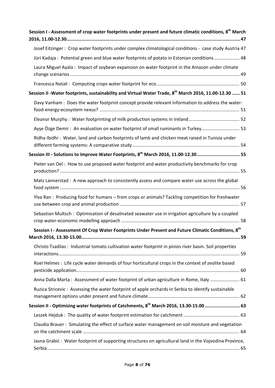| Session I - Assessment of crop water footprints under present and future climatic conditions, 8 <sup>th</sup> March |
|---------------------------------------------------------------------------------------------------------------------|
| Josef Eitzinger: Crop water footprints under complex climatological conditions - case study Austria 47              |
| Jüri Kadaja: Potential green and blue water footprints of potato in Estonian conditions 48                          |
| Laura Miguel Ayala: Impact of soybean expansion on water footprint in the Amazon under climate                      |
|                                                                                                                     |
| Session II - Water footprints, sustainability and Virtual Water Trade, 8 <sup>th</sup> March 2016, 11.00-12.30  51  |
| Davy Vanham : Does the water footprint concept provide relevant information to address the water-                   |
|                                                                                                                     |
| Ayse Özge Demir: An evaluation on water footprint of small ruminants in Turkey 53                                   |
| Ridha Ibidhi: Water, land and carbon footprints of lamb and chicken meat raised in Tunisia under                    |
| Session III - Solutions to improve Water Footprints, 8 <sup>th</sup> March 2016, 11.00-12.3055                      |
| Pieter van Oel : How to use proposed water footprint and water productivity benchmarks for crop                     |
| Mats Lannerstad: A new approach to consistently assess and compare water use across the global                      |
| Ylva Ran: Producing food for humans - from crops or animals? Tackling competition for freshwater                    |
| Sebastian Multsch: Optimisation of desalinated seawater use in irrigation agriculture by a coupled                  |
| Session I - Assessment Of Crop Water Footprints Under Present and Future Climatic Conditions, 8 <sup>th</sup>       |
| Christo Tsadilas : Industrial tomato cultivation water footprint in pinios river basin. Soil properties             |
| Roel Helmes : Life cycle water demands of four horticultural crops in the context of zeolite based                  |
| Anna Dalla Marta: Assessment of water footprint of urban agriculture in Rome, Italy  61                             |
| Ruzica Stricevic: Assessing the water footprint of apple orchards in Serbia to identify sustainable                 |
| Session II - Optimising water footprints of Catchments, 8 <sup>th</sup> March 2016, 13.30-15.00  63                 |
|                                                                                                                     |
| Claudia Brauer: Simulating the effect of surface water management on soil moisture and vegetation                   |
| Jasna Grabić: Water footprint of supporting structures on agricultural land in the Vojvodina Province,              |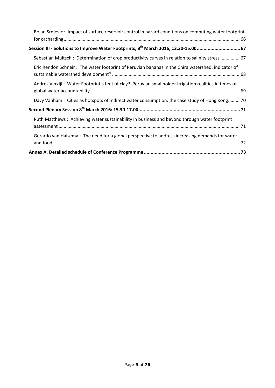| Bojan Srdjevic: Impact of surface reservoir control in hazard conditions on computing water footprint |
|-------------------------------------------------------------------------------------------------------|
| Session III - Solutions to Improve Water Footprints, 8 <sup>th</sup> March 2016, 13.30-15.00 67       |
| Sebastian Multsch: Determination of crop productivity curves in relation to salinity stress  67       |
| Eric Rendón Schneir: The water footprint of Peruvian bananas in the Chira watershed: indicator of     |
| Andres Verzijl: Water Footprint's feet of clay? Peruvian smallholder irrigation realities in times of |
| Davy Vanham : Cities as hotspots of indirect water consumption: the case study of Hong Kong 70        |
|                                                                                                       |
| Ruth Matthews: Achieving water sustainability in business and beyond through water footprint          |
| Gerardo van Halsema: The need for a global perspective to address increasing demands for water        |
|                                                                                                       |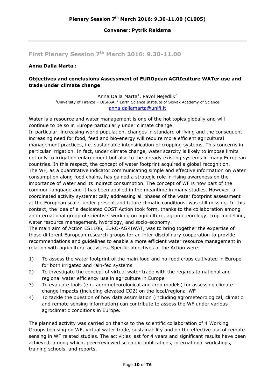#### **Convener: Pytrik Reidsma**

## **First Plenary Session 7th March 2016: 9.30-11.00**

#### **Anna Dalla Marta :**

#### **Objectives and conclusions Assessment of EUROpean AGRIculture WATer use and trade under climate change**

Anna Dalla Marta<sup>1</sup>, Pavol Nejedlik<sup>2</sup> <sup>1</sup>University of Firenze – DISPAA,  $^2$  Earth Science Institute of Slovak Academy of Science anna.dallamarta@unifi.it

Water is a resource and water management is one of the hot topics globally and will continue to be so in Europe particularly under climate change.

In particular, increasing world population, changes in standard of living and the consequent increasing need for food, feed and bio-energy will require more efficient agricultural management practices, i.e. sustainable intensification of cropping systems. This concerns in particular irrigation. In fact, under climate change, water scarcity is likely to impose limits not only to irrigation enlargement but also to the already existing systems in many European countries. In this respect, the concept of water footprint acquired a global recognition. The WF, as a quantitative indicator communicating simple and effective information on water consumption along food chains, has gained a strategic role in rising awareness on the importance of water and its indirect consumption. The concept of WF is now part of the common language and it has been applied in the meantime in many studies. However, a coordinated activity systematically addressing all phases of the water footprint assessment at the European scale, under present and future climatic conditions, was still missing. In this context, the idea of a dedicated COST Action took form, thanks to the collaboration among an international group of scientists working on agriculture, agrometeorology, crop modelling, water resource management, hydrology, and socio-economy.

The main aim of Action ES1106, EURO-AGRIWAT, was to bring together the expertise of those different European research groups for an inter-disciplinary cooperation to provide recommendations and guidelines to enable a more efficient water resource management in relation with agricultural activities. Specific objectives of the Action were:

- 1) To assess the water footprint of the main food and no-food crops cultivated in Europe for both irrigated and rain-fed systems
- 2) To investigate the concept of virtual water trade with the regards to national and regional water efficiency use in agriculture in Europe
- 3) To evaluate tools (e.g. agrometeorological and crop models) for assessing climate change impacts (including elevated CO2) on the local/regional WF
- 4) To tackle the question of how data assimilation (including agrometeorological, climatic and remote sensing information) can contribute to assess the WF under various agroclimatic conditions in Europe.

The planned activity was carried on thanks to the scientific collaboration of 4 Working Groups focusing on WF, virtual water trade, sustainability and on the effective use of remote sensing in WF related studies. The activities last for 4 years and significant results have been achieved, among which, peer-reviewed scientific publications, international workshops, training schools, and reports.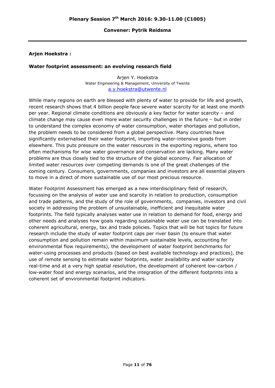#### **Convener: Pytrik Reidsma**

#### **Arjen Hoekstra :**

#### **Water footprint assessment: an evolving research field**

Arjen Y. Hoekstra Water Engineering & Management, University of Twente a.y.hoekstra@utwente.nl

While many regions on earth are blessed with plenty of water to provide for life and growth, recent research shows that 4 billion people face severe water scarcity for at least one month per year. Regional climate conditions are obviously a key factor for water scarcity – and climate change may cause even more water security challenges in the future – but in order to understand the complex economy of water consumption, water shortages and pollution, the problem needs to be considered from a global perspective. Many countries have significantly externalised their water footprint, importing water-intensive goods from elsewhere. This puts pressure on the water resources in the exporting regions, where too often mechanisms for wise water governance and conservation are lacking. Many water problems are thus closely tied to the structure of the global economy. Fair allocation of limited water resources over competing demands is one of the great challenges of the coming century. Consumers, governments, companies and investors are all essential players to move in a direct of more sustainable use of our most precious resource.

Water Footprint Assessment has emerged as a new interdisciplinary field of research, focussing on the analysis of water use and scarcity in relation to production, consumption and trade patterns, and the study of the role of governments, companies, investors and civil society in addressing the problem of unsustainable, inefficient and inequitable water footprints. The field typically analyses water use in relation to demand for food, energy and other needs and analyses how goals regarding sustainable water use can be translated into coherent agricultural, energy, tax and trade policies. Topics that will be hot topics for future research include the study of water footprint caps per river basin (to ensure that water consumption and pollution remain within maximum sustainable levels, accounting for environmental flow requirements), the development of water footprint benchmarks for water-using processes and products (based on best available technology and practices), the use of remote sensing to estimate water footprints, water availability and water scarcity real-time and at a very high spatial resolution, the development of coherent low-carbon / low-water food and energy scenarios, and the integration of the different footprints into a coherent set of environmental footprint indicators.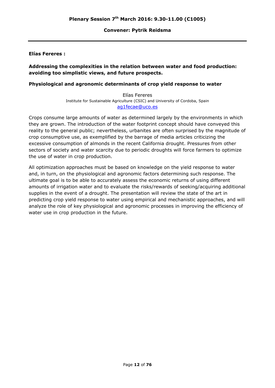#### **Convener: Pytrik Reidsma**

#### **Elías Fereres :**

#### **Addressing the complexities in the relation between water and food production: avoiding too simplistic views, and future prospects.**

#### **Physiological and agronomic determinants of crop yield response to water**

Elías Fereres Institute for Sustainable Agriculture (CSIC) and University of Cordoba, Spain ag1fecae@uco.es

Crops consume large amounts of water as determined largely by the environments in which they are grown. The introduction of the water footprint concept should have conveyed this reality to the general public; nevertheless, urbanites are often surprised by the magnitude of crop consumptive use, as exemplified by the barrage of media articles criticizing the excessive consumption of almonds in the recent California drought. Pressures from other sectors of society and water scarcity due to periodic droughts will force farmers to optimize the use of water in crop production.

All optimization approaches must be based on knowledge on the yield response to water and, in turn, on the physiological and agronomic factors determining such response. The ultimate goal is to be able to accurately assess the economic returns of using different amounts of irrigation water and to evaluate the risks/rewards of seeking/acquiring additional supplies in the event of a drought. The presentation will review the state of the art in predicting crop yield response to water using empirical and mechanistic approaches, and will analyze the role of key physiological and agronomic processes in improving the efficiency of water use in crop production in the future.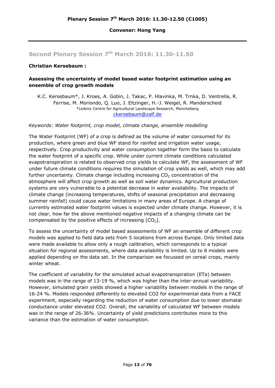### **Second Plenary Session 7th March 2016: 11.30-11.50**

#### **Christian Kersebaum :**

#### **Assessing the uncertainty of model based water footprint estimation using an ensemble of crop growth models**

K.C. Kersebaum\*, J. Kroes, A. Gobin, J. Takac, P. Hlavinka, M. Trnka, D. Ventrella, R. Ferrise, M. Moriondo, Q. Luo, J. Eitzinger, H.-J. Weigel, R. Manderscheid \*Leibniz Centre for Agricultural Landscape Research, Müncheberg ckersebaum@zalf.de

*Keywords: Water footprint, crop model, climate change, ensemble modelling* 

The Water Footprint (WF) of a crop is defined as the volume of water consumed for its production, where green and blue WF stand for rainfed and irrigation water usage, respectively. Crop productivity and water consumption together form the basis to calculate the water footprint of a specific crop. While under current climate conditions calculated evapotranspiration is related to observed crop yields to calculate WF, the assessment of WF under future climate conditions requires the simulation of crop yields as well, which may add further uncertainty. Climate change including increasing  $CO<sub>2</sub>$  concentration of the atmosphere will affect crop growth as well as soil water dynamics. Agricultural production systems are very vulnerable to a potential decrease in water availability. The impacts of climate change (increasing temperatures, shifts of seasonal precipitation and decreasing summer rainfall) could cause water limitations in many areas of Europe. A change of currently estimated water footprint values is expected under climate change. However, it is not clear, how far the above mentioned negative impacts of a changing climate can be compensated by the positive effects of increasing  $[CO<sub>2</sub>]$ .

To assess the uncertainty of model based assessments of WF an ensemble of different crop models was applied to field data sets from 5 locations from across Europe. Only limited data were made available to allow only a rough calibration, which corresponds to a typical situation for regional assessments, where data availability is limited. Up to 8 models were applied depending on the data set. In the comparison we focussed on cereal crops, mainly winter wheat.

The coefficient of variability for the simulated actual evapotranspiration (ETa) between models was in the range of 13-19 %, which was higher than the inter-annual variability. However, simulated grain yields showed a higher variability between models in the range of 16-24 %. Models responded differently to elevated CO2 for experimental data from a FACE experiment, especially regarding the reduction of water consumption due to lower stomatal conductance under elevated CO2. Overall, the variability of calculated WF between models was in the range of 26-36%. Uncertainty of yield predictions contributes more to this variance than the estimation of water consumption.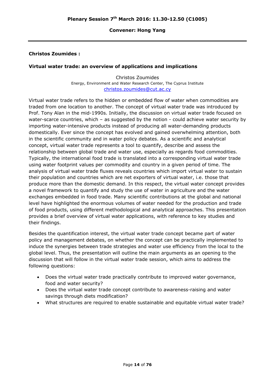#### **Christos Zoumides :**

#### **Virtual water trade: an overview of applications and implications**

Christos Zoumides Energy, Environment and Water Research Center, The Cyprus Institute christos.zoumides@cut.ac.cy

Virtual water trade refers to the hidden or embedded flow of water when commodities are traded from one location to another. The concept of virtual water trade was introduced by Prof. Tony Alan in the mid-1990s. Initially, the discussion on virtual water trade focused on water-scarce countries, which – as suggested by the notion - could achieve water security by importing water-intensive products instead of producing all water-demanding products domestically. Ever since the concept has evolved and gained overwhelming attention, both in the scientific community and in water policy debates. As a scientific and analytical concept, virtual water trade represents a tool to quantify, describe and assess the relationship between global trade and water use, especially as regards food commodities. Typically, the international food trade is translated into a corresponding virtual water trade using water footprint values per commodity and country in a given period of time. The analysis of virtual water trade fluxes reveals countries which import virtual water to sustain their population and countries which are net exporters of virtual water, i.e. those that produce more than the domestic demand. In this respect, the virtual water concept provides a novel framework to quantify and study the use of water in agriculture and the water exchanges embedded in food trade. Many scientific contributions at the global and national level have highlighted the enormous volumes of water needed for the production and trade of food products, using different methodological and analytical approaches. This presentation provides a brief overview of virtual water applications, with reference to key studies and their findings.

Besides the quantification interest, the virtual water trade concept became part of water policy and management debates, on whether the concept can be practically implemented to induce the synergies between trade strategies and water use efficiency from the local to the global level. Thus, the presentation will outline the main arguments as an opening to the discussion that will follow in the virtual water trade session, which aims to address the following questions:

- Does the virtual water trade practically contribute to improved water governance, food and water security?
- Does the virtual water trade concept contribute to awareness-raising and water savings through diets modification?
- What structures are required to enable sustainable and equitable virtual water trade?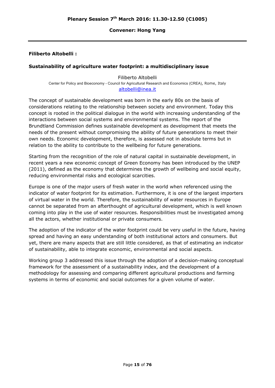#### **Filiberto Altobelli :**

#### **Sustainability of agriculture water footprint: a multidisciplinary issue**

Filiberto Altobelli Center for Policy and Bioeconomy - Council for Agricultural Research and Economics (CREA), Rome, Italy altobelli@inea.it

The concept of sustainable development was born in the early 80s on the basis of considerations relating to the relationship between society and environment. Today this concept is rooted in the political dialogue in the world with increasing understanding of the interactions between social systems and environmental systems. The report of the Brundtland Commission defines sustainable development as development that meets the needs of the present without compromising the ability of future generations to meet their own needs. Economic development, therefore, is assessed not in absolute terms but in relation to the ability to contribute to the wellbeing for future generations.

Starting from the recognition of the role of natural capital in sustainable development, in recent years a new economic concept of Green Economy has been introduced by the UNEP (2011), defined as the economy that determines the growth of wellbeing and social equity, reducing environmental risks and ecological scarcities.

Europe is one of the major users of fresh water in the world when referenced using the indicator of water footprint for its estimation. Furthermore, it is one of the largest importers of virtual water in the world. Therefore, the sustainability of water resources in Europe cannot be separated from an afterthought of agricultural development, which is well known coming into play in the use of water resources. Responsibilities must be investigated among all the actors, whether institutional or private consumers.

The adoption of the indicator of the water footprint could be very useful in the future, having spread and having an easy understanding of both institutional actors and consumers. But yet, there are many aspects that are still little considered, as that of estimating an indicator of sustainability, able to integrate economic, environmental and social aspects.

Working group 3 addressed this issue through the adoption of a decision-making conceptual framework for the assessment of a sustainability index, and the development of a methodology for assessing and comparing different agricultural productions and farming systems in terms of economic and social outcomes for a given volume of water.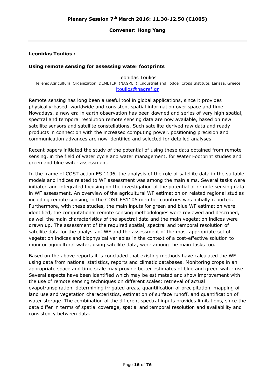#### **Leonidas Toulios :**

#### **Using remote sensing for assessing water footprints**

Leonidas Toulios Hellenic Agricultural Organization 'DEMETER' (NAGREF); Industrial and Fodder Crops Institute, Larissa, Greece ltoulios@nagref.gr

Remote sensing has long been a useful tool in global applications, since it provides physically-based, worldwide and consistent spatial information over space and time. Nowadays, a new era in earth observation has been dawned and series of very high spatial, spectral and temporal resolution remote sensing data are now available, based on new satellite sensors and satellite constellations. Such satellite-derived raw data and ready products in connection with the increased computing power, positioning precision and communication advances are now identified and selected for detailed analyses.

Recent papers initiated the study of the potential of using these data obtained from remote sensing, in the field of water cycle and water management, for Water Footprint studies and green and blue water assessment.

In the frame of COST action ES 1106, the analysis of the role of satellite data in the suitable models and indices related to WF assessment was among the main aims. Several tasks were initiated and integrated focusing on the investigation of the potential of remote sensing data in WF assessment. An overview of the agricultural WF estimation on related regional studies including remote sensing, in the COST ES1106 member countries was initially reported. Furthermore, with these studies, the main inputs for green and blue WF estimation were identified, the computational remote sensing methodologies were reviewed and described, as well the main characteristics of the spectral data and the main vegetation indices were drawn up. The assessment of the required spatial, spectral and temporal resolution of satellite data for the analysis of WF and the assessment of the most appropriate set of vegetation indices and biophysical variables in the context of a cost-effective solution to monitor agricultural water, using satellite data, were among the main tasks too.

Based on the above reports it is concluded that existing methods have calculated the WF using data from national statistics, reports and climatic databases. Monitoring crops in an appropriate space and time scale may provide better estimates of blue and green water use. Several aspects have been identified which may be estimated and show improvement with the use of remote sensing techniques on different scales: retrieval of actual evapotranspiration, determining irrigated areas, quantification of precipitation, mapping of land use and vegetation characteristics, estimation of surface runoff, and quantification of water storage. The combination of the different spectral inputs provides limitations, since the data differ in terms of spatial coverage, spatial and temporal resolution and availability and consistency between data.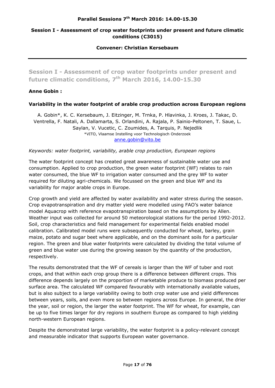#### **Parallel Sessions 7th March 2016: 14.00-15.30**

#### **Session I - Assessment of crop water footprints under present and future climatic conditions (C3015)**

**Convener: Christian Kersebaum** 

**Session I - Assessment of crop water footprints under present and future climatic conditions, 7th March 2016, 14.00-15.30** 

#### **Anne Gobin :**

#### **Variability in the water footprint of arable crop production across European regions**

A. Gobin\*, K. C. Kersebaum, J. Eitzinger, M. Trnka, P. Hlavinka, J. Kroes, J. Takac, D. Ventrella, F. Natali, A. Dallamarta, S. Orlandini, A. Rajala, P. Sainio-Peltonen, T. Saue, L. Saylan, V. Vucetic, C. Zoumides, A. Tarquis, P. Nejedlik \*VITO, Vlaamse Instelling voor Technologisch Onderzoek anne.gobin@vito.be

#### *Keywords: water footprint, variability, arable crop production, European regions*

The water footprint concept has created great awareness of sustainable water use and consumption. Applied to crop production, the green water footprint (WF) relates to rain water consumed, the blue WF to irrigation water consumed and the grey WF to water required for diluting agri-chemicals. We focussed on the green and blue WF and its variability for major arable crops in Europe.

Crop growth and yield are affected by water availability and water stress during the season. Crop evapotranspiration and dry matter yield were modelled using FAO's water balance model Aquacrop with reference evapotranspiration based on the assumptions by Allen. Weather input was collected for around 50 meteorological stations for the period 1992-2012. Soil, crop characteristics and field management for experimental fields enabled model calibration. Calibrated model runs were subsequently conducted for wheat, barley, grain maize, potato and sugar beet where applicable, and on the dominant soils for a particular region. The green and blue water footprints were calculated by dividing the total volume of green and blue water use during the growing season by the quantity of the production, respectively.

The results demonstrated that the WF of cereals is larger than the WF of tuber and root crops, and that within each crop group there is a difference between different crops. This difference depends largely on the proportion of marketable produce to biomass produced per surface area. The calculated WF compared favourably with internationally available values, but is also subject to a large variability owing to both crop water use and yield differences between years, soils, and even more so between regions across Europe. In general, the drier the year, soil or region, the larger the water footprint. The WF for wheat, for example, can be up to five times larger for dry regions in southern Europe as compared to high yielding north-western European regions.

Despite the demonstrated large variability, the water footprint is a policy-relevant concept and measurable indicator that supports European water governance.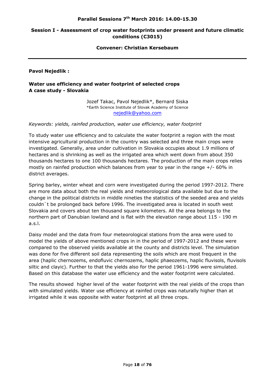#### **Session I - Assessment of crop water footprints under present and future climatic conditions (C3015)**

**Convener: Christian Kersebaum** 

**Pavol Nejedlik :** 

#### **Water use efficiency and water footprint of selected crops A case study - Slovakia**

Jozef Takac, Pavol Nejedlik\*, Bernard Siska \*Earth Science Institute of Slovak Academy of Science nejedlik@yahoo.com

*Keywords: yields, rainfed production, water use efficiency, water footprint* 

To study water use efficiency and to calculate the water footprint a region with the most intensive agricultural production in the country was selected and three main crops were investigated. Generally, area under cultivation in Slovakia occupies about 1.9 millions of hectares and is shrinking as well as the irrigated area which went down from about 350 thousands hectares to one 100 thousands hectares. The production of the main crops relies mostly on rainfed production which balances from year to year in the range +/- 60% in district averages.

Spring barley, winter wheat and corn were investigated during the period 1997-2012. There are more data about both the real yields and meteorological data available but due to the change in the political districts in middle nineties the statistics of the seeded area and yields couldn`t be prolonged back before 1996. The investigated area is located in south west Slovakia and covers about ten thousand square kilometers. All the area belongs to the northern part of Danubian lowland and is flat with the elevation range about 115 - 190 m a.s.l.

Daisy model and the data from four meteorological stations from the area were used to model the yields of above mentioned crops in in the period of 1997-2012 and these were compared to the observed yields available at the county and districts level. The simulation was done for five different soil data representing the soils which are most frequent in the area (haplic chernozems, endofluvic chernozems, haplic phaeozems, haplic fluvisols, fluvisols siltic and clayic). Further to that the yields also for the period 1961-1996 were simulated. Based on this database the water use efficiency and the water footprint were calculated.

The results showed higher level of the water footprint with the real yields of the crops than with simulated yields. Water use efficiency at rainfed crops was naturally higher than at irrigated while it was opposite with water footprint at all three crops.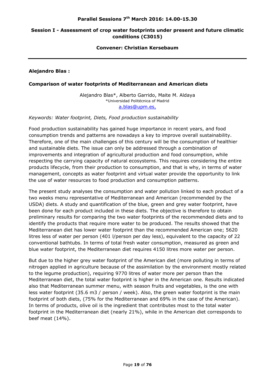#### **Session I - Assessment of crop water footprints under present and future climatic conditions (C3015)**

**Convener: Christian Kersebaum** 

**Alejandro Blas :** 

#### **Comparison of water footprints of Mediterranean and American diets**

Alejandro Blas\*, Alberto Garrido, Maite M. Aldaya \*Universidad Politécnica of Madrid a.blas@upm.es,

*Keywords: Water footprint, Diets, Food production sustainability* 

Food production sustainability has gained huge importance in recent years, and food consumption trends and patterns are nowadays a key to improve overall sustainability. Therefore, one of the main challenges of this century will be the consumption of healthier and sustainable diets. The issue can only be addressed through a combination of improvements and integration of agricultural production and food consumption, while respecting the carrying capacity of natural ecosystems. This requires considering the entire products lifecycle, from their production to consumption, and that is why, in terms of water management, concepts as water footprint and virtual water provide the opportunity to link the use of water resources to food production and consumption patterns.

The present study analyses the consumption and water pollution linked to each product of a two weeks menu representative of Mediterranean and American (recommended by the USDA) diets. A study and quantification of the blue, green and grey water footprint, have been done for each product included in these diets. The objective is therefore to obtain preliminary results for comparing the two water footprints of the recommended diets and to identify the products that require more water to be produced. The results showed that the Mediterranean diet has lower water footprint than the recommended American one; 5620 litres less of water per person (401 l/person per day less), equivalent to the capacity of 22 conventional bathtubs. In terms of total fresh water consumption, measured as green and blue water footprint, the Mediterranean diet requires 4150 litres more water per person.

But due to the higher grey water footprint of the American diet (more polluting in terms of nitrogen applied in agriculture because of the assimilation by the environment mostly related to the legume production), requiring 9770 litres of water more per person than the Mediterranean diet, the total water footprint is higher in the American one. Results indicated also that Mediterranean summer menu, with season fruits and vegetables, is the one with less water footprint (35.6 m3 / person / week). Also, the green water footprint is the main footprint of both diets, (75% for the Mediterranean and 69% in the case of the American). In terms of products, olive oil is the ingredient that contributes most to the total water footprint in the Mediterranean diet (nearly 21%), while in the American diet corresponds to beef meat (14%).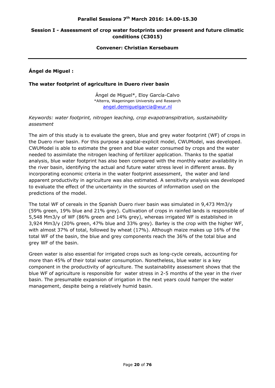#### **Session I - Assessment of crop water footprints under present and future climatic conditions (C3015)**

#### **Convener: Christian Kersebaum**

#### **Ángel de Miguel :**

#### **The water footprint of agriculture in Duero river basin**

Ángel de Miguel\*, Eloy García-Calvo \*Alterra, Wageningen University and Research angel.demiguelgarcia@wur.nl

#### *Keywords: water footprint, nitrogen leaching, crop evapotranspitration, sustainability assesment*

The aim of this study is to evaluate the green, blue and grey water footprint (WF) of crops in the Duero river basin. For this purpose a spatial-explicit model, CWUModel, was developed. CWUModel is able to estimate the green and blue water consumed by crops and the water needed to assimilate the nitrogen leaching of fertilizer application. Thanks to the spatial analysis, blue water footprint has also been compared with the monthly water availability in the river basin, identifying the actual and future water stress level in different areas. By incorporating economic criteria in the water footprint assessment, the water and land apparent productivity in agriculture was also estimated. A sensitivity analysis was developed to evaluate the effect of the uncertainty in the sources of information used on the predictions of the model.

The total WF of cereals in the Spanish Duero river basin was simulated in 9,473 Mm3/y (59% green, 19% blue and 21% grey). Cultivation of crops in rainfed lands is responsible of 5,548 Mm3/y of WF (86% green and 14% grey), whereas irrigated WF is established in 3,924 Mm3/y (20% green, 47% blue and 33% grey). Barley is the crop with the higher WF, with almost 37% of total, followed by wheat (17%). Although maize makes up 16% of the total WF of the basin, the blue and grey components reach the 36% of the total blue and grey WF of the basin.

Green water is also essential for irrigated crops such as long-cycle cereals, accounting for more than 45% of their total water consumption. Nonetheless, blue water is a key component in the productivity of agriculture. The sustainability assessment shows that the blue WF of agriculture is responsible for water stress in 2-5 months of the year in the river basin. The presumable expansion of irrigation in the next years could hamper the water management, despite being a relatively humid basin.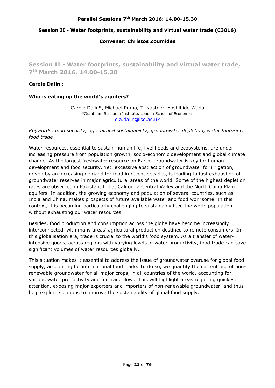#### **Convener: Christos Zoumides**

**Session II - Water footprints, sustainability and virtual water trade, 7th March 2016, 14.00-15.30** 

#### **Carole Dalin :**

#### **Who is eating up the world's aquifers?**

Carole Dalin\*, Michael Puma, T. Kastner, Yoshihide Wada \*Grantham Research Institute, London School of Economics c.a.dalin@lse.ac.uk

#### *Keywords: food security; agricultural sustainability; groundwater depletion; water footprint; food trade*

Water resources, essential to sustain human life, livelihoods and ecosystems, are under increasing pressure from population growth, socio-economic development and global climate change. As the largest freshwater resource on Earth, groundwater is key for human development and food security. Yet, excessive abstraction of groundwater for irrigation, driven by an increasing demand for food in recent decades, is leading to fast exhaustion of groundwater reserves in major agricultural areas of the world. Some of the highest depletion rates are observed in Pakistan, India, California Central Valley and the North China Plain aquifers. In addition, the growing economy and population of several countries, such as India and China, makes prospects of future available water and food worrisome. In this context, it is becoming particularly challenging to sustainably feed the world population, without exhausting our water resources.

Besides, food production and consumption across the globe have become increasingly interconnected, with many areas' agricultural production destined to remote consumers. In this globalisation era, trade is crucial to the world's food system. As a transfer of waterintensive goods, across regions with varying levels of water productivity, food trade can save significant volumes of water resources globally.

This situation makes it essential to address the issue of groundwater overuse for global food supply, accounting for international food trade. To do so, we quantify the current use of nonrenewable groundwater for all major crops, in all countries of the world, accounting for various water productivity and for trade flows. This will highlight areas requiring quickest attention, exposing major exporters and importers of non-renewable groundwater, and thus help explore solutions to improve the sustainability of global food supply.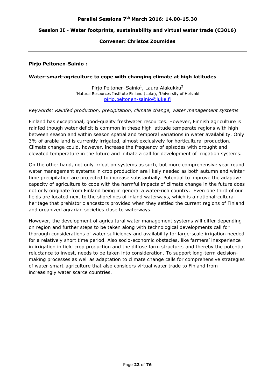#### **Convener: Christos Zoumides**

#### **Pirjo Peltonen-Sainio :**

#### **Water-smart-agriculture to cope with changing climate at high latitudes**

Pirjo Peltonen-Sainio<sup>1</sup>, Laura Alakukku<sup>2</sup> <sup>1</sup>Natural Resources Institute Finland (Luke), <sup>2</sup>University of Helsinki pirjo.peltonen-sainio@luke.fi

#### *Keywords: Rainfed production, precipitation, climate change, water management systems*

Finland has exceptional, good-quality freshwater resources. However, Finnish agriculture is rainfed though water deficit is common in these high latitude temperate regions with high between season and within season spatial and temporal variations in water availability. Only 3% of arable land is currently irrigated, almost exclusively for horticultural production. Climate change could, however, increase the frequency of episodes with drought and elevated temperature in the future and initiate a call for development of irrigation systems.

On the other hand, not only irrigation systems as such, but more comprehensive year round water management systems in crop production are likely needed as both autumn and winter time precipitation are projected to increase substantially. Potential to improve the adaptive capacity of agriculture to cope with the harmful impacts of climate change in the future does not only originate from Finland being in general a water-rich country. Even one third of our fields are located next to the shorelines of inland waterways, which is a national-cultural heritage that prehistoric ancestors provided when they settled the current regions of Finland and organized agrarian societies close to waterways.

However, the development of agricultural water management systems will differ depending on region and further steps to be taken along with technological developments call for thorough considerations of water sufficiency and availability for large-scale irrigation needed for a relatively short time period. Also socio-economic obstacles, like farmers' inexperience in irrigation in field crop production and the diffuse farm structure, and thereby the potential reluctance to invest, needs to be taken into consideration. To support long-term decisionmaking processes as well as adaptation to climate change calls for comprehensive strategies of water-smart-agriculture that also considers virtual water trade to Finland from increasingly water scarce countries.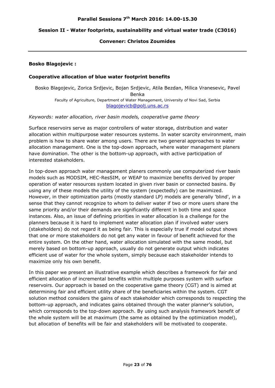#### **Convener: Christos Zoumides**

#### **Bosko Blagojevic :**

#### **Cooperative allocation of blue water footprint benefits**

Bosko Blagojevic, Zorica Srdjevic, Bojan Srdjevic, Atila Bezdan, Milica Vranesevic, Pavel Benka Faculty of Agriculture, Department of Water Management, University of Novi Sad, Serbia blagojevicb@polj.uns.ac.rs

#### *Keywords: water allocation, river basin models, cooperative game theory*

Surface reservoirs serve as major controllers of water storage, distribution and water allocation within multipurpose water resources systems. In water scarcity environment, main problem is how to share water among users. There are two general approaches to water allocation management. One is the top-down approach, where water management planers have domination. The other is the bottom-up approach, with active participation of interested stakeholders.

In top-down approach water management planers commonly use computerized river basin models such as MODSIM, HEC-ResSIM, or WEAP to maximize benefits derived by proper operation of water resources system located in given river basin or connected basins. By using any of these models the utility of the system (expectedly) can be maximized. However, in their optimization parts (mostly standard LP) models are generally 'blind', in a sense that they cannot recognize to whom to deliver water if two or more users share the same priority and/or their demands are significantly different in both time and space instances. Also, an issue of defining priorities in water allocation is a challenge for the planners because it is hard to implement water allocation plan if involved water users (stakeholders) do not regard it as being fair. This is especially true if model output shows that one or more stakeholders do not get any water in favour of benefit achieved for the entire system. On the other hand, water allocation simulated with the same model, but merely based on bottom-up approach, usually do not generate output which indicates efficient use of water for the whole system, simply because each stakeholder intends to maximize only his own benefit.

In this paper we present an illustrative example which describes a framework for fair and efficient allocation of incremental benefits within multiple purposes system with surface reservoirs. Our approach is based on the cooperative game theory (CGT) and is aimed at determining fair and efficient utility share of the beneficiaries within the system. CGT solution method considers the gains of each stakeholder which corresponds to respecting the bottom-up approach, and indicates gains obtained through the water planner's solution, which corresponds to the top-down approach. By using such analysis framework benefit of the whole system will be at maximum (the same as obtained by the optimization model), but allocation of benefits will be fair and stakeholders will be motivated to cooperate.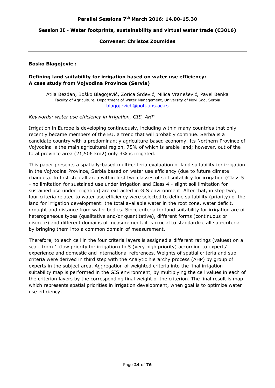#### **Convener: Christos Zoumides**

#### **Bosko Blagojevic :**

#### **Defining land suitability for irrigation based on water use efficiency: A case study from Vojvodina Province (Servia)**

Atila Bezdan, Boško Blagojević, Zorica Srđević, Milica Vranešević, Pavel Benka Faculty of Agriculture, Department of Water Management, University of Novi Sad, Serbia blagojevicb@polj.uns.ac.rs

#### *Keywords: water use efficiency in irrigation, GIS, AHP*

Irrigation in Europe is developing continuously, including within many countries that only recently became members of the EU, a trend that will probably continue. Serbia is a candidate country with a predominantly agriculture-based economy. Its Northern Province of Vojvodina is the main agricultural region, 75% of which is arable land; however, out of the total province area (21,506 km2) only 3% is irrigated.

This paper presents a spatially-based multi-criteria evaluation of land suitability for irrigation in the Vojvodina Province, Serbia based on water use efficiency (due to future climate changes). In first step all area within first two classes of soil suitability for irrigation (Class 5 - no limitation for sustained use under irrigation and Class 4 - slight soil limitation for sustained use under irrigation) are extracted in GIS environment. After that, in step two, four criteria related to water use efficiency were selected to define suitability (priority) of the land for irrigation development: the total available water in the root zone, water deficit, drought and distance from water bodies. Since criteria for land suitability for irrigation are of heterogeneous types (qualitative and/or quantitative), different forms (continuous or discrete) and different domains of measurement, it is crucial to standardize all sub-criteria by bringing them into a common domain of measurement.

Therefore, to each cell in the four criteria layers is assigned a different ratings (values) on a scale from 1 (low priority for irrigation) to 5 (very high priority) according to experts' experience and domestic and international references. Weights of spatial criteria and subcriteria were derived in third step with the Analytic hierarchy process (AHP) by group of experts in the subject area. Aggregation of weighted criteria into the final irrigation suitability map is performed in the GIS environment, by multiplying the cell values in each of the criterion layers by the corresponding final weight of the criterion. The final result is map which represents spatial priorities in irrigation development, when goal is to optimize water use efficiency.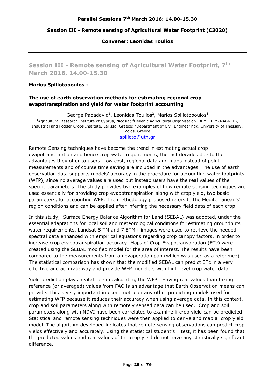#### **Session III - Remote sensing of Agricultural Water Footprint (C3020)**

#### **Convener: Leonidas Toulios**

**Session III - Remote sensing of Agricultural Water Footprint, 7th March 2016, 14.00-15.30** 

#### **Marios Spiliotopoulos :**

#### **The use of earth observation methods for estimating regional crop evapotranspiration and yield for water footprint accounting**

George Papadavid<sup>1</sup>, Leonidas Toulios<sup>2</sup>, Marios Spiliotopoulos<sup>3</sup> <sup>1</sup>Agricultural Research Institute of Cyprus, Nicosia; <sup>2</sup>Hellenic Agricultural Organisation 'DEMETER' (NAGREF), Industrial and Fodder Crops Institute, Larissa, Greece; <sup>3</sup>Department of Civil Engineeringk, University of Thessaly, Volos, Greece

#### spilioto@uth.gr

Remote Sensing techniques have become the trend in estimating actual crop evapotranspiration and hence crop water requirements, the last decades due to the advantages they offer to users. Low cost, regional data and maps instead of point measurements and of course time saving are included in the advantages. The use of earth observation data supports models' accuracy in the procedure for accounting water footprints (WFP), since no average values are used but instead users have the real values of the specific parameters. The study provides two examples of how remote sensing techniques are used essentially for providing crop evapotranspiration along with crop yield, two basic parameters, for accounting WFP. The methodology proposed refers to the Mediterranean's' region conditions and can be applied after inferring the necessary field data of each crop.

In this study, Surface Energy Balance Algorithm for Land (SEBAL) was adopted, under the essential adaptations for local soil and meteorological conditions for estimating groundnuts water requirements. Landsat-5 TM and 7 ETM+ images were used to retrieve the needed spectral data enhanced with empirical equations regarding crop canopy factors, in order to increase crop evapotranspiration accuracy. Maps of Crop Evapotranspiration (ETc) were created using the SEBAL modified model for the area of interest. The results have been compared to the measurements from an evaporation pan (which was used as a reference). The statistical comparison has shown that the modified SEBAL can predict ETc in a very effective and accurate way and provide WFP modelers with high level crop water data.

Yield prediction plays a vital role in calculating the WFP. Having real values than taking reference (or averaged) values from FAO is an advantage that Earth Observation means can provide. This is very important in econometric or any other predicting models used for estimating WFP because it reduces their accuracy when using average data. In this context, crop and soil parameters along with remotely sensed data can be used. Crop and soil parameters along with NDVI have been correlated to examine if crop yield can be predicted. Statistical and remote sensing techniques were then applied to derive and map a crop yield model. The algorithm developed indicates that remote sensing observations can predict crop yields effectively and accurately. Using the statistical student's T test, it has been found that the predicted values and real values of the crop yield do not have any statistically significant difference.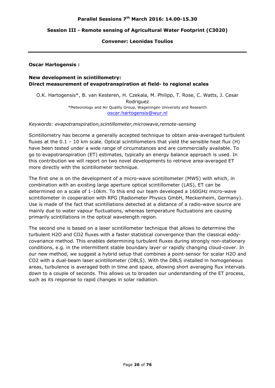#### **Session III - Remote sensing of Agricultural Water Footprint (C3020)**

#### **Convener: Leonidas Toulios**

#### **Oscar Hartogensis :**

#### **New development in scintillometry: Direct measurement of evapotranspiration at field- to regional scales**

O.K. Hartogensis\*, B. van Kesteren, H. Czekala, M. Philipp, T. Rose, C. Watts, J. Cesar Rodriguez \*Meteorology and Air Quality Group, Wageningen University and Research oscar.hartogensis@wur.nl

#### *Keywords: evapotranspiration,scintillometer,microwave,remote-sensing*

Scintillometry has become a generally accepted technique to obtain area-averaged turbulent fluxes at the  $0.1$  – 10 km scale. Optical scintillometers that yield the sensible heat flux (H) have been tested under a wide range of circumstances and are commercially available. To go to evapotranspiration (ET) estimates, typically an energy balance approach is used. In this contribution we will report on two novel developments to retrieve area-averaged ET more directly with the scintillometer technique.

The first one is on the development of a micro-wave scintillometer (MWS) with which, in combination with an existing large aperture optical scintillometer (LAS), ET can be determined on a scale of 1-10km. To this end our team developed a 160GHz micro-wave scintillometer in cooperation with RPG (Radiometer Physics GmbH, Meckenheim, Germany). Use is made of the fact that scintillations detected at a distance of a radio-wave source are mainly due to water vapour fluctuations, whereas temperature fluctuations are causing primarily scintillations in the optical wavelength region.

The second one is based on a laser scintillometer technique that allows to determine the turbulent H2O and CO2 fluxes with a faster statistical convergence than the classical eddycovariance method. This enables determining turbulent fluxes during strongly non-stationary conditions, e.g. in the intermittent stable boundary layer or rapidly changing cloud-cover. In our new method, we suggest a hybrid setup that combines a point-sensor for scalar H2O and CO2 with a dual-beam laser scintillometer (DBLS). With the DBLS installed in homogeneous areas, turbulence is averaged both in time and space, allowing short averaging flux intervals down to a couple of seconds. This allows us to broaden our understanding of the ET process, such as its response to rapid changes in solar radiation.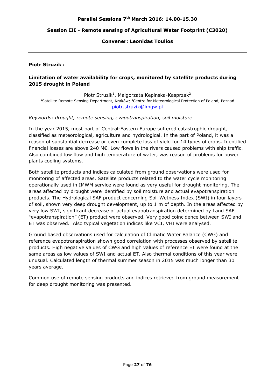#### **Parallel Sessions 7th March 2016: 14.00-15.30**

#### **Session III - Remote sensing of Agricultural Water Footprint (C3020)**

#### **Convener: Leonidas Toulios**

#### **Piotr Struzik :**

#### **Limitation of water availability for crops, monitored by satellite products during 2015 drought in Poland**

Piotr Struzik<sup>1</sup>, Malgorzata Kepinska-Kasprzak<sup>2</sup> <sup>1</sup>Satellite Remote Sensing Department, Kraków; <sup>2</sup>Centre for Meteorological Protection of Poland, Poznań piotr.struzik@imgw.pl

#### *Keywords: drought, remote sensing, evapotranspiration, soil moisture*

In the year 2015, most part of Central-Eastern Europe suffered catastrophic drought, classified as meteorological, agriculture and hydrological. In the part of Poland, it was a reason of substantial decrease or even complete loss of yield for 14 types of crops. Identified financial losses are above 240 M€. Low flows in the rivers caused problems with ship traffic. Also combined low flow and high temperature of water, was reason of problems for power plants cooling systems.

Both satellite products and indices calculated from ground observations were used for monitoring of affected areas. Satellite products related to the water cycle monitoring operationally used in IMWM service were found as very useful for drought monitoring. The areas affected by drought were identified by soil moisture and actual evapotranspiration products. The Hydrological SAF product concerning Soil Wetness Index (SWI) in four layers of soil, shown very deep drought development, up to 1 m of depth. In the areas affected by very low SWI, significant decrease of actual evapotranspiration determined by Land SAF "evapotranspiration" (ET) product were observed. Very good coincidence between SWI and ET was observed. Also typical vegetation indices like VCI, VHI were analysed.

Ground based observations used for calculation of Climatic Water Balance (CWG) and reference evapotranspiration shown good correlation with processes observed by satellite products. High negative values of CWG and high values of reference ET were found at the same areas as low values of SWI and actual ET. Also thermal conditions of this year were unusual. Calculated length of thermal summer season in 2015 was much longer than 30 years average.

Common use of remote sensing products and indices retrieved from ground measurement for deep drought monitoring was presented.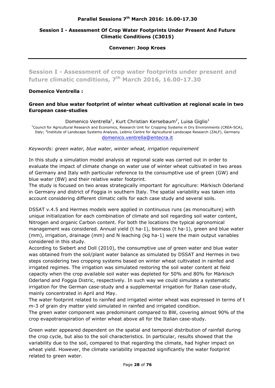#### **Parallel Sessions 7th March 2016: 16.00-17.30**

#### **Session I - Assessment Of Crop Water Footprints Under Present And Future Climatic Conditions (C3015)**

#### **Convener: Joop Kroes**

**Session I - Assessment of crop water footprints under present and future climatic conditions, 7th March 2016, 16.00-17.30** 

#### **Domenico Ventrella :**

#### **Green and blue water footprint of winter wheat cultivation at regional scale in two European case-studies**

Domenico Ventrella<sup>1</sup>, Kurt Christian Kersebaum<sup>2</sup>, Luisa Giglio<sup>1</sup> <sup>1</sup>Council for Agricultural Research and Economics, Research Unit for Cropping Systems in Dry Environments (CREA-SCA), Italy; <sup>2</sup>Institute of Landscape Systems Analysis, Leibniz Centre for Agricultural Landscape Research (ZALF), Germany domenico.ventrella@entecra.it

#### *Keywords: green water, blue water, winter wheat, irrigation requirement*

In this study a simulation model analysis at regional scale was carried out in order to evaluate the impact of climate change on water use of winter wheat cultivated in two areas of Germany and Italy with particular reference to the consumptive use of green (GW) and blue water (BW) and their relative water footprint.

The study is focused on two areas strategically important for agriculture: Märkisch Oderland in Germany and district of Foggia in southern Italy. The spatial variability was taken into account considering different climatic cells for each case study and several soils.

DSSAT v.4.5 and Hermes models were applied in continuous runs (as monoculture) with unique initialization for each combination of climate and soil regarding soil water content, Nitrogen and organic Carbon content. For both the locations the typical agronomical management was considered. Annual yield (t ha-1), biomass (t ha-1), green and blue water (mm), irrigation, drainage (mm) and N leaching (kg ha-1) were the main output variables considered in this study.

According to Siebert and Doll (2010), the consumptive use of green water and blue water was obtained from the soil/plant water balance as simulated by DSSAT and Hermes in two steps considering two cropping systems based on winter wheat cultivated in rainfed and irrigated regimes. The irrigation was simulated restoring the soil water content at field capacity when the crop available soil water was depleted for 50% and 80% for Märkisch Oderland and Foggia Distric, respectively. In such way we could simulate a systematic irrigation for the German case-study and a supplemental irrigation for Italian case-study, mainly concentrated in April and May.

The water footprint related to rainfed and irrigated winter wheat was expressed in terms of t m-3 of grain dry matter yield simulated in rainfed and irrigated condition.

The green water component was predominant compared to BW, covering almost 90% of the crop evapotranspiration of winter wheat above all for the Italian case-study.

Green water appeared dependent on the spatial and temporal distribution of rainfall during the crop cycle, but also to the soil characteristics. In particular, results showed that the variability due to the soil, compared to that regarding the climate, had higher impact on wheat yield. However, the climate variability impacted significantly the water footprint related to green water.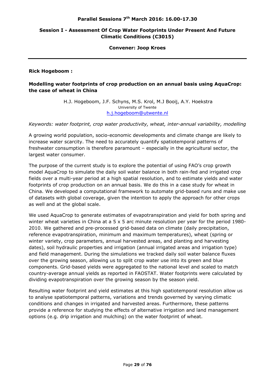#### **Session I - Assessment Of Crop Water Footprints Under Present And Future Climatic Conditions (C3015)**

#### **Convener: Joop Kroes**

**Rick Hogeboom :** 

#### **Modelling water footprints of crop production on an annual basis using AquaCrop: the case of wheat in China**

H.J. Hogeboom, J.F. Schyns, M.S. Krol, M.J Booij, A.Y. Hoekstra University of Twente h.j.hogeboom@utwente.nl

*Keywords: water footprint, crop water productivity, wheat, inter-annual variability, modelling* 

A growing world population, socio-economic developments and climate change are likely to increase water scarcity. The need to accurately quantify spatiotemporal patterns of freshwater consumption is therefore paramount – especially in the agricultural sector, the largest water consumer.

The purpose of the current study is to explore the potential of using FAO's crop growth model AquaCrop to simulate the daily soil water balance in both rain-fed and irrigated crop fields over a multi-year period at a high spatial resolution, and to estimate yields and water footprints of crop production on an annual basis. We do this in a case study for wheat in China. We developed a computational framework to automate grid-based runs and make use of datasets with global coverage, given the intention to apply the approach for other crops as well and at the global scale.

We used AquaCrop to generate estimates of evapotranspiration and yield for both spring and winter wheat varieties in China at a 5 x 5 arc minute resolution per year for the period 1980- 2010. We gathered and pre-processed grid-based data on climate (daily precipitation, reference evapotranspiration, minimum and maximum temperatures), wheat (spring or winter variety, crop parameters, annual harvested areas, and planting and harvesting dates), soil hydraulic properties and irrigation (annual irrigated areas and irrigation type) and field management. During the simulations we tracked daily soil water balance fluxes over the growing season, allowing us to split crop water use into its green and blue components. Grid-based yields were aggregated to the national level and scaled to match country-average annual yields as reported in FAOSTAT. Water footprints were calculated by dividing evapotranspiration over the growing season by the season yield.

Resulting water footprint and yield estimates at this high spatiotemporal resolution allow us to analyse spatiotemporal patterns, variations and trends governed by varying climatic conditions and changes in irrigated and harvested areas. Furthermore, these patterns provide a reference for studying the effects of alternative irrigation and land management options (e.g. drip irrigation and mulching) on the water footprint of wheat.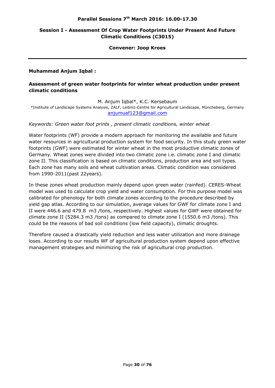#### **Parallel Sessions 7th March 2016: 16.00-17.30**

#### **Session I - Assessment Of Crop Water Footprints Under Present And Future Climatic Conditions (C3015)**

#### **Convener: Joop Kroes**

#### **Muhammad Anjum Iqbal :**

#### **Assessment of green water footprints for winter wheat production under present climatic conditions**

M. Anjum Iqbal\*, K.C. Kersebaum

\*Institute of Landscape Systems Analysis, ZALF, Leibniz-Centre for Agricultural Landscape, Müncheberg, Germany anjumuaf123@gmail.com

#### *Keywords: Green water foot prints , present climatic conditions, winter wheat*

Water footprints (WF) provide a modern approach for monitoring the available and future water resources in agricultural production system for food security. In this study green water footprints (GWF) were estimated for winter wheat in the most productive climatic zones of Germany. Wheat zones were divided into two climatic zone i.e. climatic zone I and climatic zone II. This classification is based on climatic conditions, production area and soil types. Each zone has many soils and wheat cultivation areas. Climatic condition was considered from 1990-2011(past 22years).

In these zones wheat production mainly depend upon green water (rainfed). CERES-Wheat model was used to calculate crop yield and water consumption. For this purpose model was calibrated for phenology for both climate zones according to the procedure described by yield gap atlas. According to our simulation, average values for GWF for climate zone I and II were 446.6 and 479.8 m3 /tons, respectively. Highest values for GWF were obtained for climate zone II (5284.3 m3 /tons) as compared to climate zone I (1550.6 m3 /tons). This could be the reasons of bad soil conditions (low field capacity), climatic droughts.

Therefore caused a drastically yield reduction and less water utilization and more drainage loses. According to our results WF of agricultural production system depend upon effective management strategies and minimizing the risk of agricultural crop production.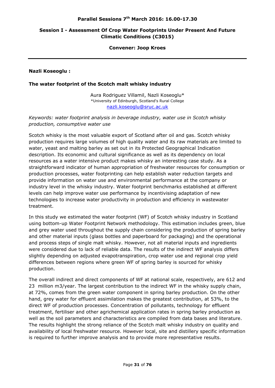#### **Session I - Assessment Of Crop Water Footprints Under Present And Future Climatic Conditions (C3015)**

#### **Convener: Joop Kroes**

**Nazli Koseoglu :** 

#### **The water footprint of the Scotch malt whisky industry**

Aura Rodriguez Villamil, Nazli Koseoglu\* \*University of Edinburgh, Scotland's Rural College nazli.koseoglu@sruc.ac.uk

*Keywords: water footprint analysis in beverage industry, water use in Scotch whisky production, consumptive water use* 

Scotch whisky is the most valuable export of Scotland after oil and gas. Scotch whisky production requires large volumes of high quality water and its raw materials are limited to water, yeast and malting barley as set out in its Protected Geographical Indication description. Its economic and cultural significance as well as its dependency on local resources as a water intensive product makes whisky an interesting case study. As a straightforward indicator of human appropriation of freshwater resources for consumption or production processes, water footprinting can help establish water reduction targets and provide information on water use and environmental performance at the company or industry level in the whisky industry. Water footprint benchmarks established at different levels can help improve water use performance by incentivising adaptation of new technologies to increase water productivity in production and efficiency in wastewater treatment.

In this study we estimated the water footprint (WF) of Scotch whisky industry in Scotland using bottom-up Water Footprint Network methodology. This estimation includes green, blue and grey water used throughout the supply chain considering the production of spring barley and other material inputs (glass bottles and paperboard for packaging) and the operational and process steps of single malt whisky. However, not all material inputs and ingredients were considered due to lack of reliable data. The results of the indirect WF analysis differs slightly depending on adjusted evapotranspiration, crop water use and regional crop yield differences between regions where green WF of spring barley is sourced for whisky production.

The overall indirect and direct components of WF at national scale, respectively, are 612 and 23 million m3/year. The largest contribution to the indirect WF in the whisky supply chain, at 72%, comes from the green water component in spring barley production. On the other hand, grey water for effluent assimilation makes the greatest contribution, at 53%, to the direct WF of production processes. Concentration of pollutants, technology for effluent treatment, fertiliser and other agrichemical application rates in spring barley production as well as the soil parameters and characteristics are compiled from data bases and literature. The results highlight the strong reliance of the Scotch malt whisky industry on quality and availability of local freshwater resource. However local, site and distillery specific information is required to further improve analysis and to provide more representative results.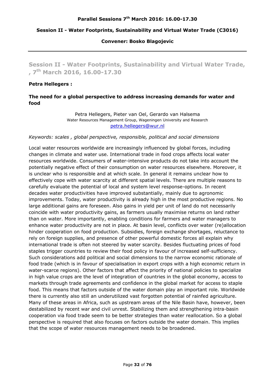#### **Convener: Bosko Blagojevic**

**Session II - Water Footprints, Sustainability and Virtual Water Trade, , 7th March 2016, 16.00-17.30** 

#### **Petra Hellegers :**

#### **The need for a global perspective to address increasing demands for water and food**

Petra Hellegers, Pieter van Oel, Gerardo van Halsema Water Resources Management Group, Wageningen University and Research petra.hellegers@wur.nl

#### *Keywords: scales , global perspective, responsible, political and social dimensions*

Local water resources worldwide are increasingly influenced by global forces, including changes in climate and water use. International trade in food crops affects local water resources worldwide. Consumers of water-intensive products do not take into account the potentially negative effect of their consumption on water resources elsewhere. Moreover, it is unclear who is responsible and at which scale. In general it remains unclear how to effectively cope with water scarcity at different spatial levels. There are multiple reasons to carefully evaluate the potential of local and system level response-options. In recent decades water productivities have improved substantially, mainly due to agronomic improvements. Today, water productivity is already high in the most productive regions. No large additional gains are foreseen. Also gains in yield per unit of land do not necessarily coincide with water productivity gains, as farmers usually maximise returns on land rather than on water. More importantly, enabling conditions for farmers and water managers to enhance water productivity are not in place. At basin level, conflicts over water (re)allocation hinder cooperation on food production. Subsidies, foreign exchange shortages, reluctance to rely on foreign supplies, and presence of other powerful domestic forces all explain why international trade is often not steered by water scarcity. Besides fluctuating prices of food staples trigger countries to review their food policy in favour of increased self-sufficiency. Such considerations add political and social dimensions to the narrow economic rationale of food trade (which is in favour of specialisation in export crops with a high economic return in water-scarce regions). Other factors that affect the priority of national policies to specialize in high value crops are the level of integration of countries in the global economy, access to markets through trade agreements and confidence in the global market for access to staple food. This means that factors outside of the water domain play an important role. Worldwide there is currently also still an underutilized vast forgotten potential of rainfed agriculture. Many of these areas in Africa, such as upstream areas of the Nile Basin have, however, been destabilized by recent war and civil unrest. Stabilizing them and strengthening intra-basin cooperation via food trade seem to be better strategies than water reallocation. So a global perspective is required that also focuses on factors outside the water domain. This implies that the scope of water resources management needs to be broadened.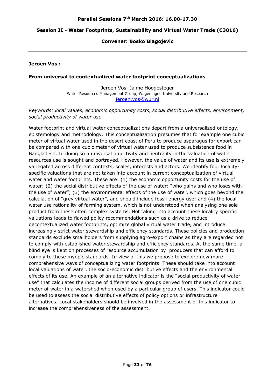#### **Convener: Bosko Blagojevic**

#### **Jeroen Vos :**

#### **From universal to contextualized water footprint conceptualizations**

Jeroen Vos, Jaime Hoogesteger Water Resources Management Group, Wageningen University and Research jeroen.vos@wur.nl

#### *Keywords: local values, economic opportunity costs, social distributive effects, environment, social productivity of water use*

Water footprint and virtual water conceptualizations depart from a universalized ontology, epistemology and methodology. This conceptualization presumes that for example one cubic meter of virtual water used in the desert coast of Peru to produce asparagus for export can be compared with one cubic meter of virtual water used to produce subsistence food in Bangladesh. In doing so a universal objectivity and neutrality in the valuation of water resources use is sought and portrayed. However, the value of water and its use is extremely variegated across different contexts, scales, interests and actors. We identify four localityspecific valuations that are not taken into account in current conceptualization of virtual water and water footprints. These are: (1) the economic opportunity costs for the use of water; (2) the social distributive effects of the use of water: "who gains and who loses with the use of water"; (3) the environmental effects of the use of water, which goes beyond the calculation of "grey virtual water", and should include fossil energy use; and (4) the local water use rationality of farming system, which is not understood when analysing one sole product from these often complex systems. Not taking into account these locality specific valuations leads to flawed policy recommendations such as a drive to reduce decontextualized water footprints, optimize global virtual water trade, and introduce increasingly strict water stewardship and efficiency standards. These policies and production standards exclude smallholders from supplying agro-export chains as they are regarded not to comply with established water stewardship and efficiency standards. At the same time, a blind eye is kept on processes of resource accumulation by producers that can afford to comply to these myopic standards. In view of this we propose to explore new more comprehensive ways of conceptualizing water footprints. These should take into account local valuations of water, the socio-economic distributive effects and the environmental effects of its use. An example of an alternative indicator is the "social productivity of water use" that calculates the income of different social groups derived from the use of one cubic meter of water in a watershed when used by a particular group of users. This indicator could be used to assess the social distributive effects of policy options or infrastructure alternatives. Local stakeholders should be involved in the assessment of this indicator to increase the comprehensiveness of the assessment.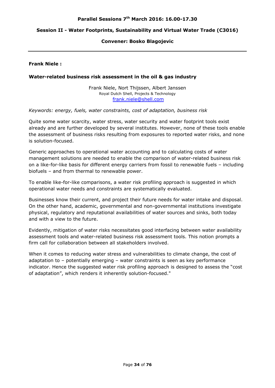#### **Convener: Bosko Blagojevic**

#### **Frank Niele :**

#### **Water-related business risk assessment in the oil & gas industry**

Frank Niele, Nort Thijssen, Albert Janssen Royal Dutch Shell, Projects & Technology frank.niele@shell.com

#### *Keywords: energy, fuels, water constraints, cost of adaptation, business risk*

Quite some water scarcity, water stress, water security and water footprint tools exist already and are further developed by several institutes. However, none of these tools enable the assessment of business risks resulting from exposures to reported water risks, and none is solution-focused.

Generic approaches to operational water accounting and to calculating costs of water management solutions are needed to enable the comparison of water-related business risk on a like-for-like basis for different energy carriers from fossil to renewable fuels – including biofuels – and from thermal to renewable power.

To enable like-for-like comparisons, a water risk profiling approach is suggested in which operational water needs and constraints are systematically evaluated.

Businesses know their current, and project their future needs for water intake and disposal. On the other hand, academic, governmental and non-governmental institutions investigate physical, regulatory and reputational availabilities of water sources and sinks, both today and with a view to the future.

Evidently, mitigation of water risks necessitates good interfacing between water availability assessment tools and water-related business risk assessment tools. This notion prompts a firm call for collaboration between all stakeholders involved.

When it comes to reducing water stress and vulnerabilities to climate change, the cost of adaptation to – potentially emerging – water constraints is seen as key performance indicator. Hence the suggested water risk profiling approach is designed to assess the "cost of adaptation", which renders it inherently solution-focused."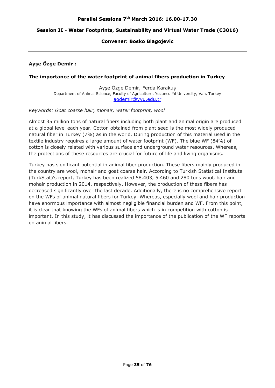#### **Convener: Bosko Blagojevic**

#### **Ayşe Özge Demir :**

#### **The importance of the water footprint of animal fibers production in Turkey**

Ayşe Özge Demir, Ferda Karakuş Department of Animal Science, Faculty of Agriculture, Yuzuncu Yıl University, Van, Turkey aodemir@yyu.edu.tr

#### *Keywords: Goat coarse hair, mohair, water footprint, wool*

Almost 35 million tons of natural fibers including both plant and animal origin are produced at a global level each year. Cotton obtained from plant seed is the most widely produced natural fiber in Turkey (7%) as in the world. During production of this material used in the textile industry requires a large amount of water footprint (WF). The blue WF (84%) of cotton is closely related with various surface and underground water resources. Whereas, the protections of these resources are crucial for future of life and living organisms.

Turkey has significant potential in animal fiber production. These fibers mainly produced in the country are wool, mohair and goat coarse hair. According to Turkish Statistical Institute (TurkStat)'s report, Turkey has been realized 58.403, 5.460 and 280 tons wool, hair and mohair production in 2014, respectively. However, the production of these fibers has decreased significantly over the last decade. Additionally, there is no comprehensive report on the WFs of animal natural fibers for Turkey. Whereas, especially wool and hair production have enormous importance with almost negligible financial burden and WF. From this point, it is clear that knowing the WFs of animal fibers which is in competition with cotton is important. In this study, it has discussed the importance of the publication of the WF reports on animal fibers.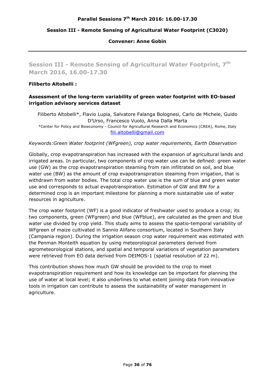#### **Session III - Remote Sensing of Agricultural Water Footprint (C3020)**

#### **Convener: Anne Gobin**

**Session III - Remote Sensing of Agricultural Water Footprint, 7th March 2016, 16.00-17.30** 

#### **Filiberto Altobelli :**

#### **Assessment of the long-term variability of green water footprint with EO-based irrigation advisory services dataset**

Filiberto Altobelli\*, Flavio Lupia, Salvatore Falanga Bolognesi, Carlo de Michele, Guido D'Urso, Francesco Vuolo, Anna Dalla Marta \*Center for Policy and Bioeconomy - Council for Agricultural Research and Economics (CREA), Rome, Italy fili.altobelli@gmail.com

*Keywords:Green Water footprint (WFgreen), crop water requirements, Earth Observation* 

Globally, crop evapotranspiration has increased with the expansion of agricultural lands and irrigated areas. In particular, two components of crop water use can be defined: green water use (GW) as the crop evapotranspiration steaming from rain infiltrated on soil, and blue water use (BW) as the amount of crop evapotranspiration steaming from irrigation, that is withdrawn from water bodies. The total crop water use is the sum of blue and green water use and corresponds to actual evapotranspiration. Estimation of GW and BW for a determined crop is an important milestone for planning a more sustainable use of water resources in agriculture.

The crop water footprint (WF) is a good indicator of freshwater used to produce a crop; its two components, green (WFgreen) and blue (WFblue), are calculated as the green and blue water use divided by crop yield. This study aims to assess the spatio-temporal variability of WFgreen of maize cultivated in Sannio Alifano consortium, located in Southern Italy (Campania region). During the irrigation season crop water requirement was estimated with the Penman Monteith equation by using meteorological parameters derived from agrometeorological stations, and spatial and temporal variations of vegetation parameters were retrieved from EO data derived from DEIMOS-1 (spatial resolution of 22 m).

This contribution shows how much GW should be provided to the crop to meet evapotranspiration requirement and how its knowledge can be important for planning the use of water at local level; it also underlines to what extent joining data from innovative tools in irrigation can contribute to assess the sustainability of water management in agriculture.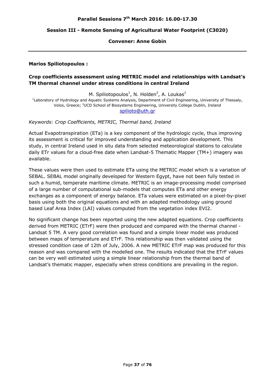### **Session III - Remote Sensing of Agricultural Water Footprint (C3020)**

#### **Convener: Anne Gobin**

#### **Marios Spiliotopoulos :**

## **Crop coefficients assessment using METRIC model and relationships with Landsat's TM thermal channel under stress conditions in central Ireland**

M. Spiliotopoulos<sup>1</sup>, N. Holden<sup>2</sup>, A. Loukas<sup>1</sup>

<sup>1</sup>Laboratory of Hydrology and Aquatic Systems Analysis, Department of Civil Engineering, University of Thessaly, Volos, Greece; <sup>2</sup>UCD School of Biosystems Engineering, University College Dublin, Ireland spilioto@uth.gr

*Keywords: Crop Coefficients, METRIC, Thermal band, Ireland* 

Actual Evapotranspiration (ETa) is a key component of the hydrologic cycle, thus improving its assessment is critical for improved understanding and application development. This study, in central Ireland used in situ data from selected meteorological stations to calculate daily ETr values for a cloud-free date when Landsat-5 Thematic Mapper (TM+) imagery was available.

These values were then used to estimate ETa using the METRIC model which is a variation of SEBAL. SEBAL model originally developed for Western Egypt, have not been fully tested in such a humid, temperate maritime climate. METRIC is an image-processing model comprised of a large number of computational sub-models that computes ETa and other energy exchanges as a component of energy balance. ETa values were estimated on a pixel-by-pixel basis using both the original equations and with an adapted methodology using ground based Leaf Area Index (LAI) values computed from the vegetation index EVI2.

No significant change has been reported using the new adapted equations. Crop coefficients derived from METRIC (ETrF) were then produced and compared with the thermal channel - Landsat 5 TM. A very good correlation was found and a simple linear model was produced between maps of temperature and ETrF. This relationship was then validated using the stressed condition case of 12th of July, 2006. A new METRIC ETrF map was produced for this reason and was compared with the modelled one. The results indicated that the ETrF values can be very well estimated using a simple linear relationship from the thermal band of Landsat's thematic mapper, especially when stress conditions are prevailing in the region.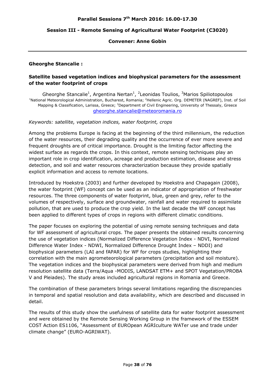## **Session III - Remote Sensing of Agricultural Water Footprint (C3020)**

#### **Convener: Anne Gobin**

#### **Gheorghe Stancalie :**

## **Satellite based vegetation indices and biophysical parameters for the assessment of the water footprint of crops**

Gheorghe Stancalie<sup>1</sup>, Argentina Nertan<sup>1</sup>, <sup>2</sup> Leonidas Toulios, <sup>3</sup> Marios Spiliotopoulos<br><sup>1</sup> National Mateoralogical Administration, Busharest, Remania: <sup>2</sup> Hellenis Agric, Org, DEMETER (NACREE), Inst. National Meteorological Administration, Bucharest, Romania; <sup>2</sup>Hellenic Agric. Org. DEMETER (NAGREF), Inst. of Soil Mapping & Classification, Larissa, Greece; <sup>3</sup>Department of Civil Engineering, University of Thessaly, Greece gheorghe.stancalie@meteoromania.ro

#### *Keywords: satellite, vegetation indices, water footprint, crops*

Among the problems Europe is facing at the beginning of the third millennium, the reduction of the water resources, their degrading quality and the occurrence of ever more severe and frequent droughts are of critical importance. Drought is the limiting factor affecting the widest surface as regards the crops. In this context, remote sensing techniques play an important role in crop identification, acreage and production estimation, disease and stress detection, and soil and water resources characterization because they provide spatially explicit information and access to remote locations.

Introduced by Hoekstra (2003) and further developed by Hoekstra and Chapagain (2008), the water footprint (WF) concept can be used as an indicator of appropriation of freshwater resources. The three components of water footprint, blue, green and grey, refer to the volumes of respectively, surface and groundwater, rainfall and water required to assimilate pollution, that are used to produce the crop yield. In the last decade the WF concept has been applied to different types of crops in regions with different climatic conditions.

The paper focuses on exploring the potential of using remote sensing techniques and data for WF assessment of agricultural crops. The paper presents the obtained results concerning the use of vegetation indices (Normalized Difference Vegetation Index - NDVI, Normalized Difference Water Index - NDWI, Normalized Difference Drought Index – NDDI) and biophysical parameters (LAI and fAPAR) for WF for crops studies, highlighting their correlation with the main agrometeorological parameters (precipitation and soil moisture). The vegetation indices and the biophysical parameters were derived from high and medium resolution satellite data (Terra/Aqua -MODIS, LANDSAT ETM+ and SPOT Vegetation/PROBA V and Pleiades). The study areas included agricultural regions in Romania and Greece.

The combination of these parameters brings several limitations regarding the discrepancies in temporal and spatial resolution and data availability, which are described and discussed in detail.

The results of this study show the usefulness of satellite data for water footprint assessment and were obtained by the Remote Sensing Working Group in the framework of the ESSEM COST Action ES1106, "Assessment of EUROpean AGRIculture WATer use and trade under climate change" (EURO-AGRIWAT).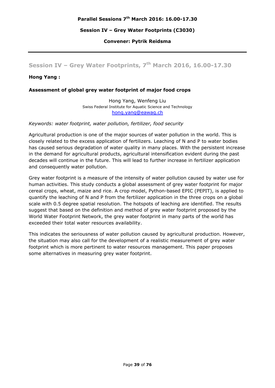**Convener: Pytrik Reidsma** 

# **Session IV – Grey Water Footprints, 7th March 2016, 16.00-17.30**

## **Hong Yang :**

#### **Assessment of global grey water footprint of major food crops**

Hong Yang, Wenfeng Liu Swiss Federal Institute for Aquatic Science and Technology hong.yang@eawag.ch

*Keywords: water footprint, water pollution, fertilizer, food security* 

Agricultural production is one of the major sources of water pollution in the world. This is closely related to the excess application of fertilizers. Leaching of N and P to water bodies has caused serious degradation of water quality in many places. With the persistent increase in the demand for agricultural products, agricultural intensification evident during the past decades will continue in the future. This will lead to further increase in fertilizer application and consequently water pollution.

Grey water footprint is a measure of the intensity of water pollution caused by water use for human activities. This study conducts a global assessment of grey water footprint for major cereal crops, wheat, maize and rice. A crop model, Python-based EPIC (PEPIT), is applied to quantify the leaching of N and P from the fertilizer application in the three crops on a global scale with 0.5 degree spatial resolution. The hotspots of leaching are identified. The results suggest that based on the definition and method of grey water footprint proposed by the World Water Footprint Network, the grey water footprint in many parts of the world has exceeded their total water resources availability.

This indicates the seriousness of water pollution caused by agricultural production. However, the situation may also call for the development of a realistic measurement of grey water footprint which is more pertinent to water resources management. This paper proposes some alternatives in measuring grey water footprint.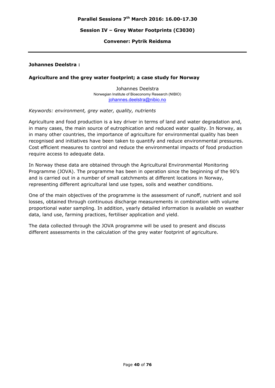## **Convener: Pytrik Reidsma**

#### **Johannes Deelstra :**

#### **Agriculture and the grey water footprint; a case study for Norway**

Johannes Deelstra Norwegian Institute of Bioeconomy Research (NIBIO) johannes.deelstra@nibio.no

*Keywords: environment, grey water, quality, nutrients* 

Agriculture and food production is a key driver in terms of land and water degradation and, in many cases, the main source of eutrophication and reduced water quality. In Norway, as in many other countries, the importance of agriculture for environmental quality has been recognised and initiatives have been taken to quantify and reduce environmental pressures. Cost efficient measures to control and reduce the environmental impacts of food production require access to adequate data.

In Norway these data are obtained through the Agricultural Environmental Monitoring Programme (JOVA). The programme has been in operation since the beginning of the 90's and is carried out in a number of small catchments at different locations in Norway, representing different agricultural land use types, soils and weather conditions.

One of the main objectives of the programme is the assessment of runoff, nutrient and soil losses, obtained through continuous discharge measurements in combination with volume proportional water sampling. In addition, yearly detailed information is available on weather data, land use, farming practices, fertiliser application and yield.

The data collected through the JOVA programme will be used to present and discuss different assessments in the calculation of the grey water footprint of agriculture.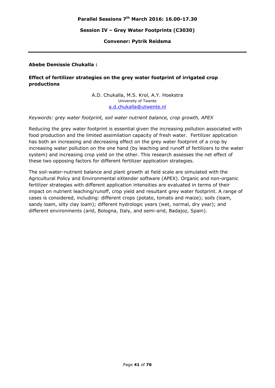## **Convener: Pytrik Reidsma**

## **Abebe Demissie Chukalla :**

## **Effect of fertilizer strategies on the grey water footprint of irrigated crop productions**

A.D. Chukalla, M.S. Krol, A.Y. Hoekstra University of Twente a.d.chukalla@utwente.nl

## *Keywords: grey water footprint, soil water nutrient balance, crop growth, APEX*

Reducing the grey water footprint is essential given the increasing pollution associated with food production and the limited assimilation capacity of fresh water. Fertilizer application has both an increasing and decreasing effect on the grey water footprint of a crop by increasing water pollution on the one hand (by leaching and runoff of fertilizers to the water system) and increasing crop yield on the other. This research assesses the net effect of these two opposing factors for different fertilizer application strategies.

The soil-water-nutrient balance and plant growth at field scale are simulated with the Agricultural Policy and Environmental eXtender software (APEX). Organic and non-organic fertilizer strategies with different application intensities are evaluated in terms of their impact on nutrient leaching/runoff, crop yield and resultant grey water footprint. A range of cases is considered, including: different crops (potato, tomato and maize); soils (loam, sandy loam, silty clay loam); different hydrologic years (wet, normal, dry year); and different environments (arid, Bologna, Italy, and semi-arid, Badajoz, Spain).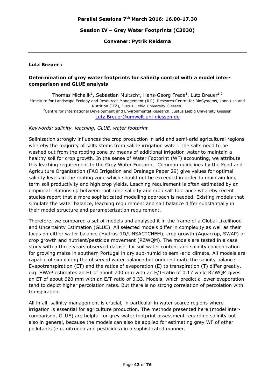## **Convener: Pytrik Reidsma**

#### **Lutz Breuer :**

## **Determination of grey water footprints for salinity control with a model intercomparison and GLUE analysis**

Thomas Michalik<sup>1</sup>, Sebastian Multsch<sup>1</sup>, Hans-Georg Frede<sup>1</sup>, Lutz Breuer<sup>1,2</sup> <sup>1</sup>Institute for Landscape Ecology and Resources Management (ILR), Research Centre for BioSystems, Land Use and Nutrition (IFZ), Justus Liebig University Giessen;<br>Centre for International Development and Environmental Research, Justus Liebig University Giessen? Lutz.Breuer@umwelt.uni-giessen.de

## *Keywords: salinity, leaching, GLUE, water footprint*

Salinization strongly influences the crop production in arid and semi-arid agricultural regions whereby the majority of salts stems from saline irrigation water. The salts need to be washed out from the rooting zone by means of additional irrigation water to maintain a healthy soil for crop growth. In the sense of Water Footprint (WF) accounting, we attribute this leaching requirement to the Grey Water Footprint. Common guidelines by the Food and Agriculture Organization (FAO Irrigation and Drainage Paper 29) give values for optimal salinity levels in the rooting zone which should not be exceeded in order to maintain long term soil productivity and high crop yields. Leaching requirement is often estimated by an empirical relationship between root zone salinity and crop salt tolerance whereby recent studies report that a more sophisticated modelling approach is needed. Existing models that simulate the water balance, leaching requirement and salt balance differ substantially in their model structure and parameterization requirement.

Therefore, we compared a set of models and analysed it in the frame of a Global Likelihood and Uncertainty Estimation (GLUE). All selected models differ in complexity as well as their focus on either water balance (Hydrus-1D/UNSACTCHEM), crop growth (Aquacrop, SWAP) or crop growth and nutrient/pesticide movement (RZWQM). The models are tested in a case study with a three years observed dataset for soil water content and salinity concentration for growing maize in southern Portugal in dry sub-humid to semi-arid climate. All models are capable of simulating the observed water balance but underestimate the salinity balance. Evapotranspiration (ET) and the ratios of evaporation (E) to transpiration (T) differ greatly, e.g. SWAP estimates an ET of about 700 mm with an E/T-ratio of 0.17 while RZWQM gives an ET of about 620 mm with an E/T-ratio of 0.33. Models, which predict a lower evaporation tend to depict higher percolation rates. But there is no strong correlation of percolation with transpiration.

All in all, salinity management is crucial, in particular in water scarce regions where irrigation is essential for agriculture production. The methods presented here (model intercomparison, GLUE) are helpful for grey water footprint assessment regarding salinity but also in general, because the models can also be applied for estimating grey WF of other pollutants (e.g. nitrogen and pesticides) in a sophisticated manner.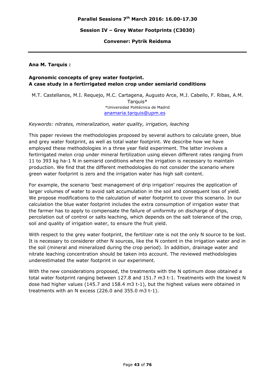**Convener: Pytrik Reidsma** 

#### **Ana M. Tarquis :**

## **Agronomic concepts of grey water footprint. A case study in a fertirrigated melon crop under semiarid conditions**

M.T. Castellanos, M.I. Requejo, M.C. Cartagena, Augusto Arce, M.J. Cabello, F. Ribas, A.M. Tarquis\* \*Universidad Politécnica de Madrid anamaria.tarquis@upm.es

*Keywords: nitrates, mineralization, water quality, irrigation, leaching* 

This paper reviews the methodologies proposed by several authors to calculate green, blue and grey water footprint, as well as total water footprint. We describe how we have employed these methodologies in a three year field experiment. The latter involves a fertirrigated melon crop under mineral fertilization using eleven different rates ranging from 11 to 393 kg ha-1 N in semiarid conditions where the irrigation is necessary to maintain production. We find that the different methodologies do not consider the scenario where green water footprint is zero and the irrigation water has high salt content.

For example, the scenario 'best management of drip irrigation' requires the application of larger volumes of water to avoid salt accumulation in the soil and consequent loss of yield. We propose modifications to the calculation of water footprint to cover this scenario. In our calculation the blue water footprint includes the extra consumption of irrigation water that the farmer has to apply to compensate the failure of uniformity on discharge of drips, percolation out of control or salts leaching, which depends on the salt tolerance of the crop, soil and quality of irrigation water, to ensure the fruit yield.

With respect to the grey water footprint, the fertilizer rate is not the only N source to be lost. It is necessary to considerer other N sources, like the N content in the irrigation water and in the soil (mineral and mineralized during the crop period). In addition, drainage water and nitrate leaching concentration should be taken into account. The reviewed methodologies underestimated the water footprint in our experiment.

With the new considerations proposed, the treatments with the N optimum dose obtained a total water footprint ranging between 127.8 and 151.7 m3 t-1. Treatments with the lowest N dose had higher values (145.7 and 158.4 m3 t-1), but the highest values were obtained in treatments with an N excess (226.0 and 355.0 m3 t-1).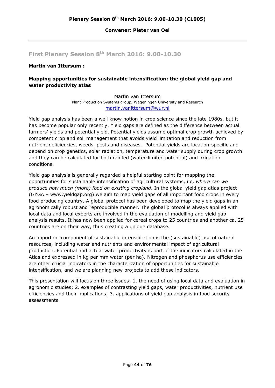#### **Convener: Pieter van Oel**

# **First Plenary Session 8th March 2016: 9.00-10.30**

## **Martin van Ittersum :**

## **Mapping opportunities for sustainable intensification: the global yield gap and water productivity atlas**

Martin van Ittersum Plant Production Systems group, Wageningen University and Research martin.vanittersum@wur.nl

Yield gap analysis has been a well know notion in crop science since the late 1980s, but it has become popular only recently. Yield gaps are defined as the difference between actual farmers' yields and potential yield. Potential yields assume optimal crop growth achieved by competent crop and soil management that avoids yield limitation and reduction from nutrient deficiencies, weeds, pests and diseases. Potential yields are location-specific and depend on crop genetics, solar radiation, temperature and water supply during crop growth and they can be calculated for both rainfed (water-limited potential) and irrigation conditions.

Yield gap analysis is generally regarded a helpful starting point for mapping the opportunities for sustainable intensification of agricultural systems, i.e. *where can we produce how much (more) food on existing cropland*. In the global yield gap atlas project (GYGA – www.yieldgap.org) we aim to map yield gaps of all important food crops in every food producing country. A global protocol has been developed to map the yield gaps in an agronomically robust and reproducible manner. The global protocol is always applied with local data and local experts are involved in the evaluation of modelling and yield gap analysis results. It has now been applied for cereal crops to 25 countries and another ca. 25 countries are on their way, thus creating a unique database.

An important component of sustainable intensification is the (sustainable) use of natural resources, including water and nutrients and environmental impact of agricultural production. Potential and actual water productivity is part of the indicators calculated in the Atlas and expressed in kg per mm water (per ha). Nitrogen and phosphorus use efficiencies are other crucial indicators in the characterization of opportunities for sustainable intensification, and we are planning new projects to add these indicators.

This presentation will focus on three issues: 1. the need of using local data and evaluation in agronomic studies; 2. examples of contrasting yield gaps, water productivities, nutrient use efficiencies and their implications; 3. applications of yield gap analysis in food security assessments.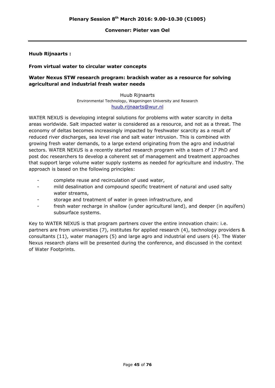#### **Convener: Pieter van Oel**

## **Huub Rijnaarts :**

## **From virtual water to circular water concepts**

## **Water Nexus STW research program: brackish water as a resource for solving agricultural and industrial fresh water needs**

Huub Rijnaarts Environmental Technology, Wageningen University and Research huub.rijnaarts@wur.nl

WATER NEXUS is developing integral solutions for problems with water scarcity in delta areas worldwide. Salt impacted water is considered as a resource, and not as a threat. The economy of deltas becomes increasingly impacted by freshwater scarcity as a result of reduced river discharges, sea level rise and salt water intrusion. This is combined with growing fresh water demands, to a large extend originating from the agro and industrial sectors. WATER NEXUS is a recently started research program with a team of 17 PhD and post doc researchers to develop a coherent set of management and treatment approaches that support large volume water supply systems as needed for agriculture and industry. The approach is based on the following principles:

- complete reuse and recirculation of used water,
- mild desalination and compound specific treatment of natural and used salty water streams,
- storage and treatment of water in green infrastructure, and
- fresh water recharge in shallow (under agricultural land), and deeper (in aquifers) subsurface systems.

Key to WATER NEXUS is that program partners cover the entire innovation chain: i.e. partners are from universities (7), institutes for applied research (4), technology providers & consultants (11), water managers (5) and large agro and industrial end users (4). The Water Nexus research plans will be presented during the conference, and discussed in the context of Water Footprints.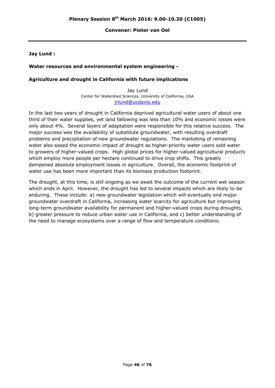### **Convener: Pieter van Oel**

## **Jay Lund :**

## **Water resources and environmental system engineering -**

## **Agriculture and drought in California with future implications**

Jay Lund Center for Watershed Sciences, University of California, USA jrlund@ucdavis.edu

In the last two years of drought in California deprived agricultural water users of about one third of their water supplies, yet land fallowing was less than 10% and economic losses were only about 4%. Several layers of adaptation were responsible for this relative success. The major success was the availability of substitute groundwater, with resulting overdraft problems and precipitation of new groundwater regulations. The marketing of remaining water also eased the economic impact of drought as higher-priority water users sold water to growers of higher-valued crops. High global prices for higher-valued agricultural products which employ more people per hectare continued to drive crop shifts. This greatly dampened absolute employment losses in agriculture. Overall, the economic footprint of water use has been more important than its biomass production footprint.

The drought, at this time, is still ongoing as we await the outcome of the current wet season which ends in April. However, the drought has led to several impacts which are likely to be enduring. These include: a) new groundwater legislation which will eventually end major groundwater overdraft in California, increasing water scarcity for agriculture but improving long-term groundwater availability for permanent and higher-valued crops during droughts, b) greater pressure to reduce urban water use in California, and c) better understanding of the need to manage ecosystems over a range of flow and temperature conditions.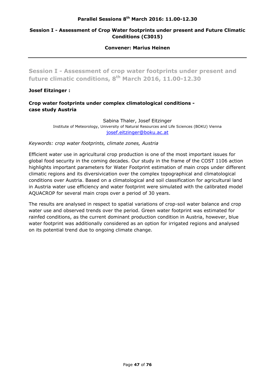## **Session I - Assessment of Crop Water footprints under present and Future Climatic Conditions (C3015)**

#### **Convener: Marius Heinen**

**Session I - Assessment of crop water footprints under present and future climatic conditions, 8th March 2016, 11.00-12.30** 

## **Josef Eitzinger :**

## **Crop water footprints under complex climatological conditions case study Austria**

Sabina Thaler, Josef Eitzinger Institute of Meteorology, University of Natural Resources and Life Sciences (BOKU) Vienna josef.eitzinger@boku.ac.at

*Keywords: crop water footprints, climate zones, Austria* 

Efficient water use in agricultural crop production is one of the most important issues for global food security in the coming decades. Our study in the frame of the COST 1106 action highlights important parameters for Water Footprint estimation of main crops under different climatic regions and its diversivication over the complex topographical and climatological conditions over Austria. Based on a climatological and soil classification for agricultural land in Austria water use efficiency and water footprint were simulated with the calibrated model AQUACROP for several main crops over a period of 30 years.

The results are analysed in respect to spatial variations of crop-soil water balance and crop water use and observed trends over the period. Green water footprint was estimated for rainfed conditions, as the current dominant production condition in Austria, however, blue water footprint was additionally considered as an option for irrigated regions and analysed on its potential trend due to ongoing climate change.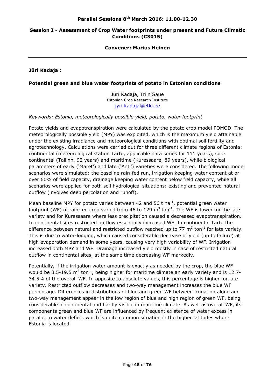## **Session I - Assessment of Crop Water footprints under present and Future Climatic Conditions (C3015)**

#### **Convener: Marius Heinen**

**Jüri Kadaja :** 

## **Potential green and blue water footprints of potato in Estonian conditions**

Jüri Kadaja, Triin Saue Estonian Crop Research Institute jyri.kadaja@etki.ee

#### *Keywords: Estonia, meteorologically possible yield, potato, water footprint*

Potato yields and evapotranspiration were calculated by the potato crop model POMOD. The meteorologically possible yield (MPY) was exploited, which is the maximum yield attainable under the existing irradiance and meteorological conditions with optimal soil fertility and agrotechnology. Calculations were carried out for three different climate regions of Estonia: continental (meteorological station Tartu, applicable data series for 111 years), subcontinental (Tallinn, 92 years) and maritime (Kuressaare, 89 years), while biological parameters of early ('Maret') and late ('Anti') varieties were considered. The following model scenarios were simulated: the baseline rain-fed run, irrigation keeping water content at or over 60% of field capacity, drainage keeping water content below field capacity, while all scenarios were applied for both soil hydrological situations: existing and prevented natural outflow (involves deep percolation and runoff).

Mean baseline MPY for potato varies between 42 and 56 t ha<sup>-1</sup>, potential green water footprint (WF) of rain-fed crop varied from 46 to 129  $m^3$  ton<sup>-1</sup>. The WF is lower for the late variety and for Kuressaare where less precipitation caused a decreased evapotranspiration. In continental sites restricted outflow essentially increased WF. In continental Tartu the difference between natural and restricted outflow reached up to 77  $m^3$  ton<sup>-1</sup> for late variety. This is due to water-logging, which caused considerable decrease of yield (up to failure) at high evaporation demand in some years, causing very high variability of WF. Irrigation increased both MPY and WF. Drainage increased yield mostly in case of restricted natural outflow in continental sites, at the same time decreasing WF markedly.

Potentially, if the irrigation water amount is exactly as needed by the crop, the blue WF would be 8.5-19.5  $m^3$  ton<sup>-1</sup>, being higher for maritime climate an early variety and is 12.7-34.5% of the overall WF. In opposite to absolute values, this percentage is higher for late variety. Restricted outflow decreases and two-way management increases the blue WF percentage. Differences in distributions of blue and green WF between irrigation alone and two-way management appear in the low region of blue and high region of green WF, being considerable in continental and hardly visible in maritime climate. As well as overall WF, its components green and blue WF are influenced by frequent existence of water excess in parallel to water deficit, which is quite common situation in the higher latitudes where Estonia is located.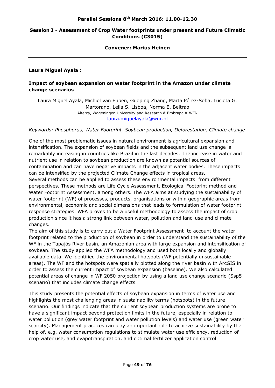## **Session I - Assessment of Crop Water footprints under present and Future Climatic Conditions (C3015)**

#### **Convener: Marius Heinen**

## **Laura Miguel Ayala :**

## **Impact of soybean expansion on water footprint in the Amazon under climate change scenarios**

Laura Miguel Ayala, Michiel van Eupen, Guoping Zhang, Marta Pérez-Soba, Lucieta G. Martorano, Leila S. Lisboa, Norma E. Beltrao Alterra, Wageningen University and Research & Embrapa & WFN laura.miguelayala@wur.nl

*Keywords: Phosphorus, Water Footprint, Soybean production, Deforestation, Climate change* 

One of the most problematic issues in natural environment is agricultural expansion and intensification. The expansion of soybean fields and the subsequent land use change is remarkably increasing in countries like Brazil in the last decades. The increase in water and nutrient use in relation to soybean production are known as potential sources of contamination and can have negative impacts in the adjacent water bodies. These impacts can be intensified by the projected Climate Change effects in tropical areas.

Several methods can be applied to assess these environmental impacts from different perspectives. These methods are Life Cycle Assessment, Ecological Footprint method and Water Footprint Assessment, among others. The WFA aims at studying the sustainability of water footprint (WF) of processes, products, organisations or within geographic areas from environmental, economic and social dimensions that leads to formulation of water footprint response strategies. WFA proves to be a useful methodology to assess the impact of crop production since it has a strong link between water, pollution and land-use and climate changes.

The aim of this study is to carry out a Water Footprint Assessment to account the water footprint related to the production of soybean in order to understand the sustainability of the WF in the Tapajós River basin, an Amazonian area with large expansion and intensification of soybean. The study applied the WFA methodology and used both locally and globally available data. We identified the environmental hotspots (WF potentially unsustainable areas). The WF and the hotspots were spatially plotted along the river basin with ArcGIS in order to assess the current impact of soybean expansion (baseline). We also calculated potential areas of change in WF 2050 projection by using a land use change scenario (Ssp5 scenario) that includes climate change effects.

This study presents the potential effects of soybean expansion in terms of water use and highlights the most challenging areas in sustainability terms (hotspots) in the future scenario. Our findings indicate that the current soybean production systems are prone to have a significant impact beyond protection limits in the future, especially in relation to water pollution (grey water footprint and water pollution levels) and water use (green water scarcity). Management practices can play an important role to achieve sustainability by the help of, e.g. water consumption regulations to stimulate water use efficiency, reduction of crop water use, and evapotranspiration, and optimal fertilizer application control.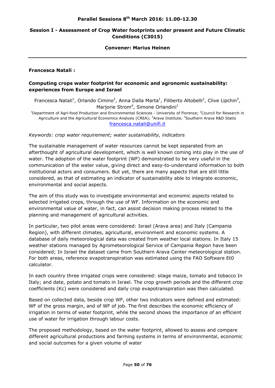## **Session I - Assessment of Crop Water footprints under present and Future Climatic Conditions (C3015)**

#### **Convener: Marius Heinen**

## **Francesca Natali :**

## **Computing crops water footprint for economic and agronomic sustainability: experiences from Europe and Israel**

Francesca Natali<sup>1</sup>, Orlando Cimino<sup>2</sup>, Anna Dalla Marta<sup>1</sup>, Filiberto Altobelli<sup>2</sup>, Clive Lipchin<sup>3</sup>, Marjorie Strom<sup>4</sup>, Simone Orlandini<sup>1</sup>

<sup>1</sup>Department of Agri-food Production and Environmental Sciences - University of Florence; <sup>2</sup>Council for Research in Agriculture and the Agricultural Economics Analysis (CREA); <sup>3</sup>Arava Institute; <sup>4</sup>Southern Arava R&D Statio francesca.natali@unifi.it

#### *Keywords: crop water requirement; water sustainability, indicators*

The sustainable management of water resources cannot be kept separated from an afterthought of agricultural development, which is well known coming into play in the use of water. The adoption of the water footprint (WF) demonstrated to be very useful in the communication of the water value, giving direct and easy-to-understand information to both institutional actors and consumers. But yet, there are many aspects that are still little considered, as that of estimating an indicator of sustainability able to integrate economic, environmental and social aspects.

The aim of this study was to investigate environmental and economic aspects related to selected irrigated crops, through the use of WF. Information on the economic and environmental value of water, in fact, can assist decision making process related to the planning and management of agricultural activities.

In particular, two pilot areas were considered: Israel (Arava area) and Italy (Campania Region), with different climates, agricultural, environment and economic systems. A database of daily meteorological data was created from weather local stations. In Italy 15 weather stations managed by Agrometeorological Service of Campania Region have been considered; In Israel the dataset came from Southern Arava Center meteorological station. For both areas, reference evapotranspiration was estimated using the FAO Software Et0 calculator.

In each country three irrigated crops were considered: silage maize, tomato and tobacco In Italy; and date, potato and tomato in Israel. The crop growth periods and the different crop coefficients (Kc) were considered and daily crop evapotranspiration was then calculated.

Based on collected data, beside crop WF, other two indicators were defined and estimated: WF of the gross margin, and of WF of job. The first describes the economic efficiency of irrigation in terms of water footprint, while the second shows the importance of an efficient use of water for irrigation through labour costs.

The proposed methodology, based on the water footprint, allowed to assess and compare different agricultural productions and farming systems in terms of environmental, economic and social outcomes for a given volume of water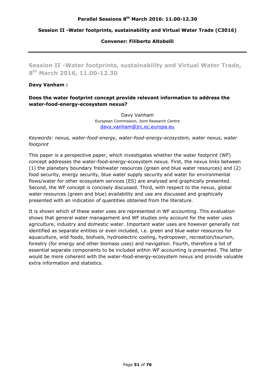## **Session II -Water footprints, sustainability and Virtual Water Trade (C3016)**

**Convener: Filiberto Altobelli** 

**Session II -Water footprints, sustainability and Virtual Water Trade, 8th March 2016, 11.00-12.30** 

## **Davy Vanham :**

## **Does the water footprint concept provide relevant information to address the water-food-energy-ecosystem nexus?**

Davy Vanham European Commission, Joint Research Centre davy.vanham@jrc.ec.europa.eu

## *Keywords: nexus, water-food-energy, water-food-energy-ecosystem, water nexus, water footprint*

This paper is a perspective paper, which investigates whether the water footprint (WF) concept addresses the water-food-energy-ecosystem nexus. First, the nexus links between (1) the planetary boundary freshwater resources (green and blue water resources) and (2) food security, energy security, blue water supply security and water for environmental flows/water for other ecosystem services (ES) are analysed and graphically presented. Second, the WF concept is concisely discussed. Third, with respect to the nexus, global water resources (green and blue) availability and use are discussed and graphically presented with an indication of quantities obtained from the literature.

It is shown which of these water uses are represented in WF accounting. This evaluation shows that general water management and WF studies only account for the water uses agriculture, industry and domestic water. Important water uses are however generally not identified as separate entities or even included, i.e. green and blue water resources for aquaculture, wild foods, biofuels, hydroelectric cooling, hydropower, recreation/tourism, forestry (for energy and other biomass uses) and navigation. Fourth, therefore a list of essential separate components to be included within WF accounting is presented. The latter would be more coherent with the water-food-energy-ecosystem nexus and provide valuable extra information and statistics.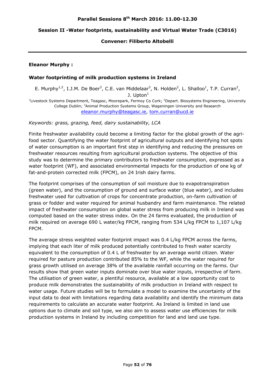## **Session II -Water footprints, sustainability and Virtual Water Trade (C3016)**

## **Convener: Filiberto Altobelli**

## **Eleanor Murphy :**

#### **Water footprinting of milk production systems in Ireland**

E. Murphy<sup>1,2</sup>, I.J.M. De Boer<sup>3</sup>, C.E. van Middelaar<sup>3</sup>, N. Holden<sup>2</sup>, L. Shalloo<sup>1</sup>, T.P. Curran<sup>2</sup>, J. Upton $<sup>1</sup>$ </sup> <sup>1</sup> Livestock Systems Department, Teagasc, Moorepark, Fermoy Co Cork; <sup>2</sup> Depart. Biosystems Engineering, University College Dublin; <sup>3</sup>Animal Production Systems Group, Wageningen University and Research eleanor.murphy@teagasc.ie, tom.curran@ucd.ie

*Keywords: grass, grazing, feed, dairy sustainability, LCA* 

Finite freshwater availability could become a limiting factor for the global growth of the agrifood sector. Quantifying the water footprint of agricultural outputs and identifying hot spots of water consumption is an important first step in identifying and reducing the pressures on freshwater resources resulting from agricultural production systems. The objective of this study was to determine the primary contributors to freshwater consumption, expressed as a water footprint (WF), and associated environmental impacts for the production of one kg of fat-and-protein corrected milk (FPCM), on 24 Irish dairy farms.

The footprint comprises of the consumption of soil moisture due to evapotranspiration (green water), and the consumption of ground and surface water (blue water), and includes freshwater used for cultivation of crops for concentrate production, on-farm cultivation of grass or fodder and water required for animal husbandry and farm maintenance. The related impact of freshwater consumption on global water stress from producing milk in Ireland was computed based on the water stress index. On the 24 farms evaluated, the production of milk required on average 690 L water/kg FPCM, ranging from 534 L/kg FPCM to 1,107 L/kg FPCM.

The average stress weighted water footprint impact was 0.4 L/kg FPCM across the farms, implying that each liter of milk produced potentially contributed to fresh water scarcity equivalent to the consumption of 0.4 L of freshwater by an average world citizen. Water required for pasture production contributed 85% to the WF, while the water required for grass growth utilised on average 38% of the available rainfall occurring on the farms. Our results show that green water inputs dominate over blue water inputs, irrespective of farm. The utilisation of green water, a plentiful resource, available at a low opportunity cost to produce milk demonstrates the sustainability of milk production in Ireland with respect to water usage. Future studies will be to formulate a model to examine the uncertainty of the input data to deal with limitations regarding data availability and identify the minimum data requirements to calculate an accurate water footprint. As Ireland is limited in land use options due to climate and soil type, we also aim to assess water use efficiencies for milk production systems in Ireland by including competition for land and land use type.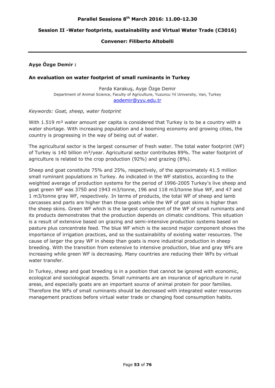## **Session II -Water footprints, sustainability and Virtual Water Trade (C3016)**

## **Convener: Filiberto Altobelli**

## **Ayşe Özge Demir :**

#### **An evaluation on water footprint of small ruminants in Turkey**

Ferda Karakuş, Ayşe Özge Demir Department of Animal Science, Faculty of Agriculture, Yuzuncu Yıl University, Van, Turkey aodemir@yyu.edu.tr

#### *Keywords: Goat, sheep, water footprint*

With  $1.519$  m<sup>3</sup> water amount per capita is considered that Turkey is to be a country with a water shortage. With increasing population and a booming economy and growing cities, the country is progressing in the way of being out of water.

The agricultural sector is the largest consumer of fresh water. The total water footprint (WF) of Turkey is 140 billion  $m^3$ /year. Agricultural sector contributes 89%. The water footprint of agriculture is related to the crop production (92%) and grazing (8%).

Sheep and goat constitute 75% and 25%, respectively, of the approximately 41.5 million small ruminant populations in Turkey. As indicated in the WF statistics, according to the weighted average of production systems for the period of 1996-2005 Turkey's live sheep and goat green WF was 3750 and 1943 m3/tonne, 196 and 118 m3/tonne blue WF, and 47 and 1 m3/tonne gray WF, respectively. In terms of products, the total WF of sheep and lamb carcasses and parts are higher than those goats while the WF of goat skins is higher than the sheep skins. Green WF which is the largest component of the WF of small ruminants and its products demonstrates that the production depends on climatic conditions. This situation is a result of extensive based on grazing and semi-intensive production systems based on pasture plus concentrate feed. The blue WF which is the second major component shows the importance of irrigation practices, and so the sustainability of existing water resources. The cause of larger the gray WF in sheep than goats is more industrial production in sheep breeding. With the transition from extensive to intensive production, blue and gray WFs are increasing while green WF is decreasing. Many countries are reducing their WFs by virtual water transfer.

In Turkey, sheep and goat breeding is in a position that cannot be ignored with economic, ecological and sociological aspects. Small ruminants are an insurance of agriculture in rural areas, and especially goats are an important source of animal protein for poor families. Therefore the WFs of small ruminants should be decreased with integrated water resources management practices before virtual water trade or changing food consumption habits.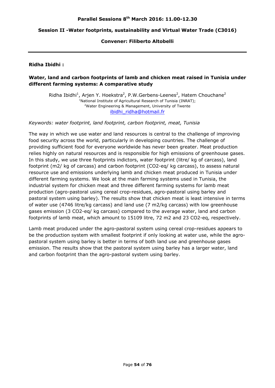#### **Session II -Water footprints, sustainability and Virtual Water Trade (C3016)**

### **Convener: Filiberto Altobelli**

#### **Ridha Ibidhi :**

## **Water, land and carbon footprints of lamb and chicken meat raised in Tunisia under different farming systems: A comparative study**

Ridha Ibidhi<sup>1</sup>, Arjen Y. Hoekstra<sup>2</sup>, P.W.Gerbens-Leenes<sup>2</sup>, Hatem Chouchane<sup>2</sup> <sup>1</sup>National Institute of Agricultural Research of Tunisia (INRAT);<br><sup>2</sup>Water Engineering & Management, University of Twente Water Engineering & Management, University of Twente ibidhi\_ridha@hotmail.fr

*Keywords: water footprint, land footprint, carbon footprint, meat, Tunisia* 

The way in which we use water and land resources is central to the challenge of improving food security across the world, particularly in developing countries. The challenge of providing sufficient food for everyone worldwide has never been greater. Meat production relies highly on natural resources and is responsible for high emissions of greenhouse gases. In this study, we use three footprints indictors, water footprint (litre/ kg of carcass), land footprint (m2/ kg of carcass) and carbon footprint (CO2-eq/ kg carcass), to assess natural resource use and emissions underlying lamb and chicken meat produced in Tunisia under different farming systems. We look at the main farming systems used in Tunisia, the industrial system for chicken meat and three different farming systems for lamb meat production (agro-pastoral using cereal crop-residues, agro-pastoral using barley and pastoral system using barley). The results show that chicken meat is least intensive in terms of water use (4746 litre/kg carcass) and land use (7 m2/kg carcass) with low greenhouse gases emission (3 CO2-eq/ kg carcass) compared to the average water, land and carbon footprints of lamb meat, which amount to 15109 litre, 72 m2 and 23 CO2-eq, respectively.

Lamb meat produced under the agro-pastoral system using cereal crop-residues appears to be the production system with smallest footprint if only looking at water use, while the agropastoral system using barley is better in terms of both land use and greenhouse gases emission. The results show that the pastoral system using barley has a larger water, land and carbon footprint than the agro-pastoral system using barley.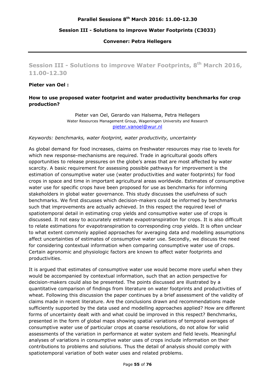## **Session III - Solutions to improve Water Footprints (C3033)**

#### **Convener: Petra Hellegers**

**Session III - Solutions to improve Water Footprints, 8th March 2016, 11.00-12.30** 

#### **Pieter van Oel :**

## **How to use proposed water footprint and water productivity benchmarks for crop production?**

Pieter van Oel, Gerardo van Halsema, Petra Hellegers Water Resources Management Group, Wageningen University and Research pieter.vanoel@wur.nl

#### *Keywords: benchmarks, water footprint, water productivity, uncertainty*

As global demand for food increases, claims on freshwater resources may rise to levels for which new response-mechanisms are required. Trade in agricultural goods offers opportunities to release pressures on the globe's areas that are most affected by water scarcity. A basic requirement for assessing possible pathways for improvement is the estimation of consumptive water use (water productivities and water footprints) for food crops in space and time in important agricultural areas worldwide. Estimates of consumptive water use for specific crops have been proposed for use as benchmarks for informing stakeholders in global water governance. This study discusses the usefulness of such benchmarks. We first discusses which decision-makers could be informed by benchmarks such that improvements are actually achieved. In this respect the required level of spatiotemporal detail in estimating crop yields and consumptive water use of crops is discussed. It not easy to accurately estimate evapotranspiration for crops. It is also difficult to relate estimations for evapotranspiration to corresponding crop yields. It is often unclear to what extent commonly applied approaches for averaging data and modelling assumptions affect uncertainties of estimates of consumptive water use. Secondly, we discuss the need for considering contextual information when comparing consumptive water use of crops. Certain agronomic and physiologic factors are known to affect water footprints and productivities.

It is argued that estimates of consumptive water use would become more useful when they would be accompanied by contextual information, such that an action perspective for decision-makers could also be presented. The points discussed are illustrated by a quantitative comparison of findings from literature on water footprints and productivities of wheat. Following this discussion the paper continues by a brief assessment of the validity of claims made in recent literature. Are the conclusions drawn and recommendations made sufficiently supported by the data used and modelling approaches applied? How are different forms of uncertainty dealt with and what could be improved in this respect? Benchmarks, presented in the form of global maps showing spatial variations of temporal averages of consumptive water use of particular crops at coarse resolutions, do not allow for valid assessments of the variation in performance at water system and field levels. Meaningful analyses of variations in consumptive water uses of crops include information on their contributions to problems and solutions. Thus the detail of analysis should comply with spatiotemporal variation of both water uses and related problems.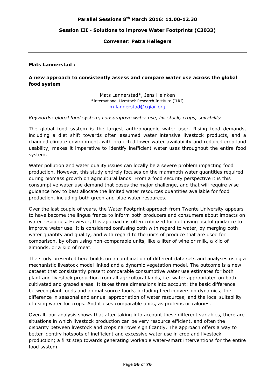#### **Session III - Solutions to improve Water Footprints (C3033)**

#### **Convener: Petra Hellegers**

#### **Mats Lannerstad :**

## **A new approach to consistently assess and compare water use across the global food system**

Mats Lannerstad\*, Jens Heinken \*International Livestock Research Institute (ILRI) m.lannerstad@cgiar.org

#### *Keywords: global food system, consumptive water use, livestock, crops, suitability*

The global food system is the largest anthropogenic water user. Rising food demands, including a diet shift towards often assumed water intensive livestock products, and a changed climate environment, with projected lower water availability and reduced crop land usability, makes it imperative to identify inefficient water uses throughout the entire food system.

Water pollution and water quality issues can locally be a severe problem impacting food production. However, this study entirely focuses on the mammoth water quantities required during biomass growth on agricultural lands. From a food security perspective it is this consumptive water use demand that poses the major challenge, and that will require wise guidance how to best allocate the limited water resources quantities available for food production, including both green and blue water resources.

Over the last couple of years, the Water Footprint approach from Twente University appears to have become the lingua franca to inform both producers and consumers about impacts on water resources. However, this approach is often criticized for not giving useful guidance to improve water use. It is considered confusing both with regard to water, by merging both water quantity and quality, and with regard to the units of produce that are used for comparison, by often using non-comparable units, like a liter of wine or milk, a kilo of almonds, or a kilo of meat.

The study presented here builds on a combination of different data sets and analyses using a mechanistic livestock model linked and a dynamic vegetation model. The outcome is a new dataset that consistently present comparable consumptive water use estimates for both plant and livestock production from all agricultural lands, i.e. water appropriated on both cultivated and grazed areas. It takes three dimensions into account: the basic difference between plant foods and animal source foods, including feed conversion dynamics; the difference in seasonal and annual appropriation of water resources; and the local suitability of using water for crops. And it uses comparable units, as proteins or calories.

Overall, our analysis shows that after taking into account these different variables, there are situations in which livestock production can be very resource efficient, and often the disparity between livestock and crops narrows significantly. The approach offers a way to better identify hotspots of inefficient and excessive water use in crop and livestock production; a first step towards generating workable water-smart interventions for the entire food system.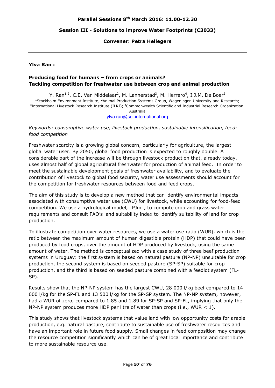#### **Session III - Solutions to improve Water Footprints (C3033)**

#### **Convener: Petra Hellegers**

#### **Ylva Ran :**

### **Producing food for humans – from crops or animals? Tackling competition for freshwater use between crop and animal production**

Y. Ran<sup>1,2</sup>, C.E. Van Middelaar<sup>2</sup>, M. Lannerstad<sup>3</sup>, M. Herrero<sup>4</sup>, I.J.M. De Boer<sup>2</sup> <sup>1</sup>Stockholm Environment Institute; <sup>2</sup>Animal Production Systems Group, Wageningen University and Research;<br><sup>3</sup>International Livestock Besearch Institute (ILBI): <sup>4</sup>Commonwealth Scientific and Industrial Besearch Organizat International Livestock Research Institute (ILRI); <sup>4</sup>Commonwealth Scientific and Industrial Research Organization, Australia

ylva.ran@sei-international.org

*Keywords: consumptive water use, livestock production, sustainable intensification, feedfood competition* 

Freshwater scarcity is a growing global concern, particularly for agriculture, the largest global water user. By 2050, global food production is expected to roughly double. A considerable part of the increase will be through livestock production that, already today, uses almost half of global agricultural freshwater for production of animal feed. In order to meet the sustainable development goals of freshwater availability, and to evaluate the contribution of livestock to global food security, water use assessments should account for the competition for freshwater resources between food and feed crops.

The aim of this study is to develop a new method that can identify environmental impacts associated with consumptive water use (CWU) for livestock, while accounting for food-feed competition. We use a hydrological model, LPJmL, to compute crop and grass water requirements and consult FAO's land suitability index to identify suitability of land for crop production.

To illustrate competition over water resources, we use a water use ratio (WUR), which is the ratio between the maximum amount of human digestible protein (HDP) that could have been produced by food crops, over the amount of HDP produced by livestock, using the same amount of water. The method is conceptualized with a case study of three beef production systems in Uruguay: the first system is based on natural pasture (NP-NP) unsuitable for crop production, the second system is based on seeded pasture (SP-SP) suitable for crop production, and the third is based on seeded pasture combined with a feedlot system (FL-SP).

Results show that the NP-NP system has the largest CWU, 28 000 l/kg beef compared to 14 000 l/kg for the SP-FL and 13 500 l/kg for the SP-SP system. The NP-NP system, however, had a WUR of zero, compared to 1.85 and 1.89 for SP-SP and SP-FL, implying that only the NP-NP system produces more HDP per litre of water than crops (i.e., WUR  $< 1$ ).

This study shows that livestock systems that value land with low opportunity costs for arable production, e.g. natural pasture, contribute to sustainable use of freshwater resources and have an important role in future food supply. Small changes in feed composition may change the resource competition significantly which can be of great local importance and contribute to more sustainable resource use.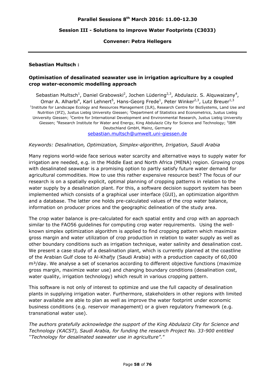### **Session III - Solutions to improve Water Footprints (C3033)**

#### **Convener: Petra Hellegers**

#### **Sebastian Multsch :**

## **Optimisation of desalinated seawater use in irrigation agriculture by a coupled crop water-economic modelling approach**

Sebastian Multsch<sup>1</sup>, Daniel Grabowski<sup>2</sup>, Jochen Lüdering<sup>2,3</sup>, Abdulaziz. S. Alquwaizany<sup>4</sup>, Omar A. Alharbi<sup>4</sup>, Karl Lehnert<sup>5</sup>, Hans-Georg Frede<sup>1</sup>, Peter Winker<sup>2,3</sup>, Lutz Breuer<sup>1,3</sup> <sup>1</sup>Institute for Landscape Ecology and Resources Management (ILR), Research Centre for BioSystems, Land Use and Nutrition (IFZ), Justus Liebig University Giessen; <sup>2</sup>Department of Statistics and Econometrics, Justus Liebig University Giessen; <sup>3</sup>Centre for International Development and Environmental Research, Justus Liebig University Giessen; <sup>4</sup>Research Institute for Water and Energy, King Abdulaziz City for Science and Technology; <sup>5</sup>IBM Deutschland GmbH, Mainz, Germany sebastian.multsch@umwelt.uni-giessen.de

#### *Keywords: Desalination, Optimization, Simplex-algorithm, Irrigation, Saudi Arabia*

Many regions world-wide face serious water scarcity and alternative ways to supply water for irrigation are needed, e.g. in the Middle East and North Africa (MENA) region. Growing crops with desalinated seawater is a promising option to partly satisfy future water demand for agricultural commodities. How to use this rather expensive resource best? The focus of our research is on a spatially explicit, optimal planning of cropping patterns in relation to the water supply by a desalination plant. For this, a software decision support system has been implemented which consists of a graphical user interface (GUI), an optimization algorithm and a database. The latter one holds pre-calculated values of the crop water balance, information on producer prices and the geographic delineation of the study area.

The crop water balance is pre-calculated for each spatial entity and crop with an approach similar to the FAO56 guidelines for computing crop water requirements. Using the wellknown simplex optimization algorithm is applied to find cropping pattern which maximize gross margin and water utilization of crop production in relation to water supply as well as other boundary conditions such as irrigation technique, water salinity and desalination cost. We present a case study of a desalination plant, which is currently planned at the coastline of the Arabian Gulf close to Al-Khafjy (Saudi Arabia) with a production capacity of 60,000 m<sup>3</sup>/day. We analyse a set of scenarios according to different objective functions (maximize gross margin, maximize water use) and changing boundary conditions (desalination cost, water quality, irrigation technology) which result in various cropping pattern.

This software is not only of interest to optimize and use the full capacity of desalination plants in supplying irrigation water. Furthermore, stakeholders in other regions with limited water available are able to plan as well as improve the water footprint under economic business conditions (e.g. reservoir management) or a given regulatory framework (e.g. transnational water use).

*The authors gratefully acknowledge the support of the King Abdulaziz City for Science and Technology (KACST), Saudi Arabia, for funding the research Project No. 33-900 entitled ''Technology for desalinated seawater use in agriculture"."*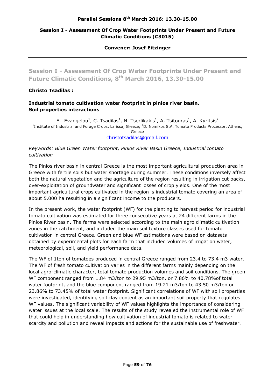## **Session I - Assessment Of Crop Water Footprints Under Present and Future Climatic Conditions (C3015)**

#### **Convener: Josef Eitzinger**

**Session I - Assessment Of Crop Water Footprints Under Present and Future Climatic Conditions, 8th March 2016, 13.30-15.00** 

## **Christo Tsadilas :**

## **Industrial tomato cultivation water footprint in pinios river basin. Soil properties interactions**

E. Evangelou<sup>1</sup>, C. Tsadilas<sup>1</sup>, N. Tserlikakis<sup>1</sup>, A, Tsitouras<sup>1</sup>, A. Kyritsis<sup>2</sup> <sup>1</sup>Institute of Industrial and Forage Crops, Larissa, Greece; <sup>2</sup>D. Nomikos S.A. Tomato Products Processor, Athens, Greece

christotsadilas@gmail.com

## *Keywords: Blue Green Water footprint, Pinios River Basin Greece, Industrial tomato cultivation*

The Pinios river basin in central Greece is the most important agricultural production area in Greece with fertile soils but water shortage during summer. These conditions inversely affect both the natural vegetation and the agriculture of the region resulting in irrigation cut backs, over-exploitation of groundwater and significant losses of crop yields. One of the most important agricultural crops cultivated in the region is industrial tomato covering an area of about 5.000 ha resulting in a significant income to the producers.

In the present work, the water footprint (WF) for the planting to harvest period for industrial tomato cultivation was estimated for three consecutive years at 24 different farms in the Pinios River basin. The farms were selected according to the main agro climatic cultivation zones in the catchment, and included the main soil texture classes used for tomato cultivation in central Greece. Green and blue WF estimations were based on datasets obtained by experimental plots for each farm that included volumes of irrigation water, meteorological, soil, and yield performance data.

The WF of 1ton of tomatoes produced in central Greece ranged from 23.4 to 73.4 m3 water. The WF of fresh tomato cultivation varies in the different farms mainly depending on the local agro-climatic character, total tomato production volumes and soil conditions. The green WF component ranged from 1.84 m3/ton to 29.95 m3/ton, or 7.86% to 40.78%of total water footprint, and the blue component ranged from 19.21 m3/ton to 43.50 m3/ton or 23.86% to 73.45% of total water footprint. Significant correlations of WF with soil properties were investigated, identifying soil clay content as an important soil property that regulates WF values. The significant variability of WF values highlights the importance of considering water issues at the local scale. The results of the study revealed the instrumental role of WF that could help in understanding how cultivation of industrial tomato is related to water scarcity and pollution and reveal impacts and actions for the sustainable use of freshwater.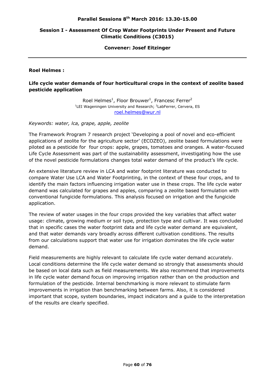## **Session I - Assessment Of Crop Water Footprints Under Present and Future Climatic Conditions (C3015)**

#### **Convener: Josef Eitzinger**

## **Roel Helmes :**

## **Life cycle water demands of four horticultural crops in the context of zeolite based pesticide application**

Roel Helmes<sup>1</sup>, Floor Brouwer<sup>1</sup>, Francesc Ferrer<sup>2</sup> <sup>1</sup>LEI Wageningen University and Research; <sup>2</sup>LabFerrer, Cervera, ES roel.helmes@wur.nl

*Keywords: water, lca, grape, apple, zeolite* 

The Framework Program 7 research project 'Developing a pool of novel and eco-efficient applications of zeolite for the agriculture sector' (ECOZEO), zeolite based formulations were piloted as a pesticide for four crops: apple, grapes, tomatoes and oranges. A water-focused Life Cycle Assessment was part of the sustainability assessment, investigating how the use of the novel pesticide formulations changes total water demand of the product's life cycle.

An extensive literature review in LCA and water footprint literature was conducted to compare Water Use LCA and Water Footprinting, in the context of these four crops, and to identify the main factors influencing irrigation water use in these crops. The life cycle water demand was calculated for grapes and apples, comparing a zeolite based formulation with conventional fungicide formulations. This analysis focused on irrigation and the fungicide application.

The review of water usages in the four crops provided the key variables that affect water usage: climate, growing medium or soil type, protection type and cultivar. It was concluded that in specific cases the water footprint data and life cycle water demand are equivalent, and that water demands vary broadly across different cultivation conditions. The results from our calculations support that water use for irrigation dominates the life cycle water demand.

Field measurements are highly relevant to calculate life cycle water demand accurately. Local conditions determine the life cycle water demand so strongly that assessments should be based on local data such as field measurements. We also recommend that improvements in life cycle water demand focus on improving irrigation rather than on the production and formulation of the pesticide. Internal benchmarking is more relevant to stimulate farm improvements in irrigation than benchmarking between farms. Also, it is considered important that scope, system boundaries, impact indicators and a guide to the interpretation of the results are clearly specified.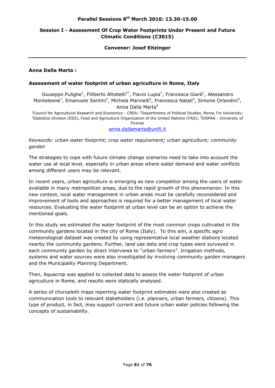## **Session I - Assessment Of Crop Water Footprints Under Present and Future Climatic Conditions (C3015)**

#### **Convener: Josef Eitzinger**

## **Anna Dalla Marta :**

## **Assessment of water footprint of urban agriculture in Rome, Italy**

Giuseppe Pulighe<sup>1</sup>, Filiberto Altobelli<sup>1\*</sup>, Flavio Lupia<sup>1</sup>, Francesca Giarè<sup>1</sup>, Alessandro Monteleone<sup>1</sup>, Emanuele Santini<sup>2</sup>, Michela Marinelli<sup>3</sup>, Francesca Natali<sup>4</sup>, Simone Orlandini<sup>4</sup>, Anna Dalla Marta<sup>4</sup>

<sup>1</sup>Council for Agricultural Research and Economics - CREA; <sup>2</sup>Departments of Political Studies, Roma Tre University;<br><sup>3</sup>Statistics Division (ESS), Eaed and Agriculture Organization of the United Nations (EAO); <sup>4</sup>DiSBAA, Statistics Division (ESS), Food and Agriculture Organization of the United Nations (FAO); <sup>4</sup>DiSPAA - University of Firenze

#### anna.dallamarta@unifi.it

*Keywords: urban water footprint; crop water requirement; urban agriculture; community garden* 

The strategies to cope with future climate change scenarios need to take into account the water use at local level, especially in urban areas where water demand and water conflicts among different users may be relevant.

In recent years, urban agriculture is emerging as new competitor among the users of water available in many metropolitan areas, due to the rapid growth of this phenomenon. In this new context, local water management in urban areas must be carefully reconsidered and improvement of tools and approaches is required for a better management of local water resources. Evaluating the water footprint at urban level can be an option to achieve the mentioned goals.

In this study we estimated the water footprint of the most common crops cultivated in the community gardens located in the city of Rome (Italy). To this aim, a specific agro meteorological dataset was created by using representative local weather stations located nearby the community gardens. Further, land use data and crop types were surveyed in each community garden by direct interviews to "urban farmers". Irrigation methods, systems and water sources were also investigated by involving community garden managers and the Municipality Planning Department.

Then, Aquacrop was applied to collected data to assess the water footprint of urban agriculture in Rome, and results were statically analysed.

A series of choropleth maps reporting water footprint estimates were also created as communication tools to relevant stakeholders (i.e. planners, urban farmers, citizens). This type of product, in fact, may support current and future urban water policies following the concepts of sustainability.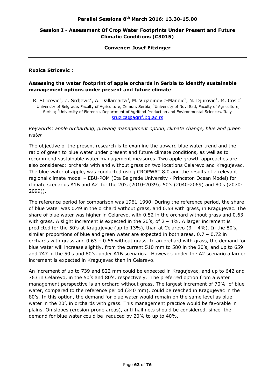## **Session I - Assessment Of Crop Water Footprints Under Present and Future Climatic Conditions (C3015)**

#### **Convener: Josef Eitzinger**

## **Ruzica Stricevic :**

## **Assessing the water footprint of apple orchards in Serbia to identify sustainable management options under present and future climate**

R. Stricevic<sup>1</sup>, Z. Srdjevic<sup>2</sup>, A. Dallamarta<sup>3</sup>, M. Vujadinovic-Mandic<sup>1</sup>, N. Djurovic<sup>1</sup>, M. Cosic<sup>1</sup> <sup>1</sup>University of Belgrade, Faculty of Agriculture, Zemun, Serbia; <sup>2</sup>University of Novi Sad, Faculty of Agriculture, Serbia; <sup>3</sup>University of Florence, Department of Agrifood Production and Environmental Sciences, Italy sruzica@agrif.bg.ac.rs

## *Keywords: apple orcharding, growing management option, climate change, blue and green water*

The objective of the present research is to examine the upward blue water trend and the ratio of green to blue water under present and future climate conditions, as well as to recommend sustainable water management measures. Two apple growth approaches are also considered: orchards with and without grass on two locations Celarevo and Kragujevac. The blue water of apple, was conducted using CROPWAT 8.0 and the results of a relevant regional climate model – EBU-POM (Eta Belgrade University - Princeton Ocean Model) for climate scenarios A1B and A2 for the 20's (2010-2039); 50's (2040-2069) and 80's (2070- 2099)).

The reference period for comparison was 1961-1990. During the reference period, the share of blue water was 0.49 in the orchard without grass, and 0.58 with grass, in Kragujevac. The share of blue water was higher in Celarevo, with 0.52 in the orchard without grass and 0.63 with grass. A slight increment is expected in the  $20's$ , of  $2 - 4\%$ . A larger increment is predicted for the 50's at Kragujevac (up to 13%), than at Celarevo (3 – 4%). In the 80's, similar proportions of blue and green water are expected in both areas, 0.7 – 0.72 in orchards with grass and 0.63 – 0.66 without grass. In an orchard with grass, the demand for blue water will increase slightly, from the current 510 mm to 580 in the 20's, and up to 659 and 747 in the 50's and 80's, under A1B scenarios. However, under the A2 scenario a larger increment is expected in Kragujevac than in Celarevo.

An increment of up to 739 and 822 mm could be expected in Kragujevac, and up to 642 and 763 in Celarevo, in the 50's and 80's, respectively. The preferred option from a water management perspective is an orchard without grass. The largest increment of 70% of blue water, compared to the reference period (340 mm), could be reached in Kragujevac in the 80's. In this option, the demand for blue water would remain on the same level as blue water in the 20', in orchards with grass. This management practice would be favorable in plains. On slopes (erosion-prone areas), anti-hail nets should be considered, since the demand for blue water could be reduced by 20% to up to 40%.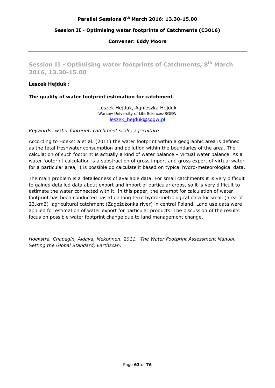## **Session II - Optimising water footprints of Catchments (C3016)**

**Convener: Eddy Moors** 

**Session II - Optimising water footprints of Catchments, 8th March 2016, 13.30-15.00** 

#### **Leszek Hejduk :**

## **The quality of water footprint estimation for catchment**

Leszek Hejduk, Agnieszka Hejduk Warsaw University of Life Sciences-SGGW leszek\_hejduk@sggw.pl

#### *Keywords: water footprint, catchment scale, agriculture*

According to Hoekstra et.al. (2011) the water footprint within a geographic area is defined as the total freshwater consumption and pollution within the boundaries of the area. The calculation of such footprint is actually a kind of water balance – virtual water balance. As a water footprint calculation is a substraction of gross import and gross export of virtual water for a particular area, it is possible do calculate it based on typical hydro-meteorological data.

The main problem is a detailedness of available data. For small catchments it is very difficult to gained detailed data about export and import of particular crops, so it is very difficult to estimate the water connected with it. In this paper, the attempt for calculation of water footprint has been conducted based on long term hydro-metrological data for small (area of 23.km2) agricultural catchment (Zagożdżonka river) in central Poland. Land use data were applied for estimation of water export for particular products. The discussion of the results focus on possible water footprint change due to land management change.

*Hoekstra, Chapagin, Aldaya, Mekonnen. 2011. The Water Footprint Assessment Manual. Setting the Global Standard, Earthscan.*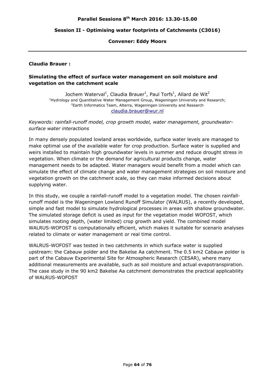#### **Session II - Optimising water footprints of Catchments (C3016)**

**Convener: Eddy Moors** 

#### **Claudia Brauer :**

## **Simulating the effect of surface water management on soil moisture and vegetation on the catchment scale**

Jochem Waterval<sup>1</sup>, Claudia Brauer<sup>1</sup>, Paul Torfs<sup>1</sup>, Allard de Wit<sup>2</sup> <sup>1</sup>Hydrology and Quantitative Water Management Group, Wageningen University and Research;<br><sup>2</sup>Earth Informatics Toam, Altorra, Wagoningen University and Research <sup>2</sup> Earth Informatics Team, Alterra, Wageningen University and Research claudia.brauer@wur.nl

## *Keywords: rainfall-runoff model, crop growth model, water management, groundwatersurface water interactions*

In many densely populated lowland areas worldwide, surface water levels are managed to make optimal use of the available water for crop production. Surface water is supplied and weirs installed to maintain high groundwater levels in summer and reduce drought stress in vegetation. When climate or the demand for agricultural products change, water management needs to be adapted. Water managers would benefit from a model which can simulate the effect of climate change and water management strategies on soil moisture and vegetation growth on the catchment scale, so they can make informed decisions about supplying water.

In this study, we couple a rainfall-runoff model to a vegetation model. The chosen rainfallrunoff model is the Wageningen Lowland Runoff Simulator (WALRUS), a recently developed, simple and fast model to simulate hydrological processes in areas with shallow groundwater. The simulated storage deficit is used as input for the vegetation model WOFOST, which simulates rooting depth, (water limited) crop growth and yield. The combined model WALRUS-WOFOST is computationally efficient, which makes it suitable for scenario analyses related to climate or water management or real time control.

WALRUS-WOFOST was tested in two catchments in which surface water is supplied upstream: the Cabauw polder and the Bakelse Aa catchment. The 0.5 km2 Cabauw polder is part of the Cabauw Experimental Site for Atmospheric Research (CESAR), where many additional measurements are available, such as soil moisture and actual evapotranspiration. The case study in the 90 km2 Bakelse Aa catchment demonstrates the practical applicability of WALRUS-WOFOST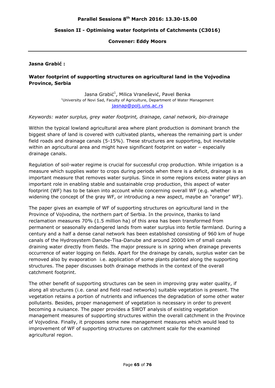#### **Session II - Optimising water footprints of Catchments (C3016)**

#### **Convener: Eddy Moors**

#### **Jasna Grabić :**

## **Water footprint of supporting structures on agricultural land in the Vojvodina Province, Serbia**

Jasna Grabić<sup>1</sup>, Milica Vranešević, Pavel Benka<br><sup>1</sup>University of Navi Sad, Fasulty of Agriculture, Department of Water N <sup>1</sup>University of Novi Sad, Faculty of Agriculture, Department of Water Management jasnap@polj.uns.ac.rs

#### *Keywords: water surplus, grey water footprint, drainage, canal network, bio-drainage*

Within the typical lowland agricultural area where plant production is dominant branch the biggest share of land is covered with cultivated plants, whereas the remaining part is under field roads and drainage canals (5-15%). These structures are supporting, but inevitable within an agricultural area and might have significant footprint on water – especially drainage canals.

Regulation of soil-water regime is crucial for successful crop production. While irrigation is a measure which supplies water to crops during periods when there is a deficit, drainage is as important measure that removes water surplus. Since in some regions excess water plays an important role in enabling stable and sustainable crop production, this aspect of water footprint (WF) has to be taken into account while concerning overall WF (e.g. whether widening the concept of the gray WF, or introducing a new aspect, maybe an "orange" WF).

The paper gives an example of WF of supporting structures on agricultural land in the Province of Vojvodina, the northern part of Serbia. In the province, thanks to land reclamation measures 70% (1.5 million ha) of this area has been transformed from permanent or seasonally endangered lands from water surplus into fertile farmland. During a century and a half a dense canal network has been established consisting of 960 km of huge canals of the Hydrosystem Danube-Tisa-Danube and around 20000 km of small canals draining water directly from fields. The major pressure is in spring when drainage prevents occurrence of water logging on fields. Apart for the drainage by canals, surplus water can be removed also by evaporation i.e. application of some plants planted along the supporting structures. The paper discusses both drainage methods in the context of the overall catchment footprint.

The other benefit of supporting structures can be seen in improving gray water quality, if along all structures (i.e. canal and field road networks) suitable vegetation is present. The vegetation retains a portion of nutrients and influences the degradation of some other water pollutants. Besides, proper management of vegetation is necessary in order to prevent becoming a nuisance. The paper provides a SWOT analysis of existing vegetation management measures of supporting structures within the overall catchment in the Province of Vojvodina. Finally, it proposes some new management measures which would lead to improvement of WF of supporting structures on catchment scale for the examined agricultural region.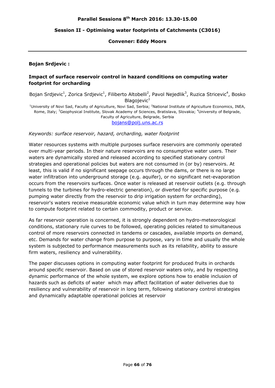## **Session II - Optimising water footprints of Catchments (C3016)**

## **Convener: Eddy Moors**

## **Bojan Srdjevic :**

## **Impact of surface reservoir control in hazard conditions on computing water footprint for orcharding**

Bojan Srdjevic<sup>1</sup>, Zorica Srdjevic<sup>1</sup>, Filiberto Altobelli<sup>2</sup>, Pavol Nejedlik<sup>3</sup>, Ruzica Stricevic<sup>4</sup>, Bosko Blagoievic $1$ <sup>1</sup>University of Novi Sad, Faculty of Agriculture, Novi Sad, Serbia; <sup>2</sup>National Institute of Agriculture Economics, INEA, Rome, Italy; <sup>3</sup>Geophysical Institute, Slovak Academy of Sciences, Bratislava, Slovakia; <sup>4</sup>University of Belgrade, Faculty of Agriculture, Belgrade, Serbia

bojans@polj.uns.ac.rs

*Keywords: surface reservoir, hazard, orcharding, water footprint* 

Water resources systems with multiple purposes surface reservoirs are commonly operated over multi-year periods. In their nature reservoirs are no consumptive water users. Their waters are dynamically stored and released according to specified stationary control strategies and operational policies but waters are not consumed in (or by) reservoirs. At least, this is valid if no significant seepage occurs through the dams, or there is no large water infiltration into underground storage (e.g. aquifer), or no significant net-evaporation occurs from the reservoirs surfaces. Once water is released at reservoir outlets (e.g. through tunnels to the turbines for hydro-electric generation), or diverted for specific purpose (e.g. pumping water directly from the reservoir to drip irrigation system for orcharding), reservoir's waters receive measurable economic value which in turn may determine way how to compute footprint related to certain commodity, product or service.

As far reservoir operation is concerned, it is strongly dependent on hydro-meteorological conditions, stationary rule curves to be followed, operating policies related to simultaneous control of more reservoirs connected in tandems or cascades, available imports on demand, etc. Demands for water change from purpose to purpose, vary in time and usually the whole system is subjected to performance measurements such as its reliability, ability to assure firm waters, resiliency and vulnerability.

The paper discusses options in computing water footprint for produced fruits in orchards around specific reservoir. Based on use of stored reservoir waters only, and by respecting dynamic performance of the whole system, we explore options how to enable inclusion of hazards such as deficits of water which may affect facilitation of water deliveries due to resiliency and vulnerability of reservoir in long term, following stationary control strategies and dynamically adaptable operational policies at reservoir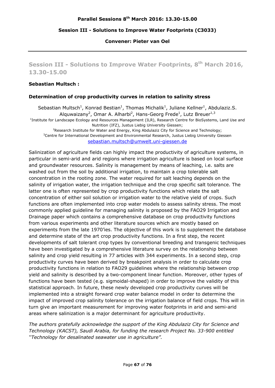## **Session III - Solutions to Improve Water Footprints (C3033)**

**Convener: Pieter van Oel** 

**Session III - Solutions to Improve Water Footprints, 8th March 2016, 13.30-15.00** 

#### **Sebastian Multsch :**

## **Determination of crop productivity curves in relation to salinity stress**

Sebastian Multsch<sup>1</sup>, Konrad Bestian<sup>1</sup>, Thomas Michalik<sup>1</sup>, Juliane Kellner<sup>1</sup>, Abdulaziz.S. Alquwaizany<sup>2</sup>, Omar A. Alharbi<sup>2</sup>, Hans-Georg Frede<sup>1</sup>, Lutz Breuer<sup>1,3</sup> <sup>1</sup>Institute for Landscape Ecology and Resources Management (ILR), Research Centre for BioSystems, Land Use and Nutrition (IFZ), Justus Liebig University Giessen;<br><sup>2</sup> Rosearch Institute for Water and Energy, King Abdulaziz City for Scion<sup>?</sup> <sup>2</sup>Research Institute for Water and Energy, King Abdulaziz City for Science and Technology;<br>3Contro for International Dovelopment and Environmental Research, Justus Liphia University Gio<sup>3</sup> <sup>3</sup>Centre for International Development and Environmental Research, Justus Liebig University Giessen sebastian.multsch@umwelt.uni-giessen.de

Salinization of agriculture fields can highly impact the productivity of agriculture systems, in particular in semi-arid and arid regions where irrigation agriculture is based on local surface and groundwater resources. Salinity is management by means of leaching, i.e. salts are washed out from the soil by additional irrigation, to maintain a crop tolerable salt concentration in the rooting zone. The water required for salt leaching depends on the salinity of irrigation water, the irrigation technique and the crop specific salt tolerance. The latter one is often represented by crop productivity functions which relate the salt concentration of either soil solution or irrigation water to the relative yield of crops. Such functions are often implemented into crop water models to assess salinity stress. The most commonly applied guideline for managing salinity is proposed by the FAO29 Irrigation and Drainage paper which contains a comprehensive database on crop productivity functions from various experiments and other literature sources which are mostly based on experiments from the late 1970'ies. The objective of this work is to supplement the database and determine state of the art crop productivity functions. In a first step, the recent developments of salt tolerant crop types by conventional breeding and transgenic techniques have been investigated by a comprehensive literature survey on the relationship between salinity and crop yield resulting in 77 articles with 344 experiments. In a second step, crop productivity curves have been derived by breakpoint analysis in order to calculate crop productivity functions in relation to FAO29 guidelines where the relationship between crop yield and salinity is described by a two-component linear function. Moreover, other types of functions have been tested (e.g. sigmoidal-shaped) in order to improve the validity of this statistical approach. In future, these newly developed crop productivity curves will be implemented into a straight forward crop water balance model in order to determine the impact of improved crop salinity tolerance on the irrigation balance of field crops. This will in turn give an important measurement for improving water footprints in arid and semi-arid areas where salinization is a major determinant for agriculture productivity.

*The authors gratefully acknowledge the support of the King Abdulaziz City for Science and Technology (KACST), Saudi Arabia, for funding the research Project No. 33-900 entitled ''Technology for desalinated seawater use in agriculture".*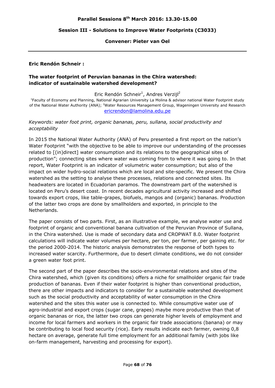#### **Session III - Solutions to Improve Water Footprints (C3033)**

#### **Convener: Pieter van Oel**

#### **Eric Rendón Schneir :**

## **The water footprint of Peruvian bananas in the Chira watershed: indicator of sustainable watershed development?**

Eric Rendón Schneir<sup>1</sup>, Andres Verzijl<sup>2</sup>

<sup>1</sup>Faculty of Economy and Planning, National Agrarian University La Molina & advisor national Water Footprint study of the National Water Authority (ANA); <sup>2</sup>Water Resources Management Group, Wageningen University and Research ericrendon@lamolina.edu.pe

## *Keywords: water foot print, organic bananas, peru, sullana, social productivity and acceptability*

In 2015 the National Water Authority (ANA) of Peru presented a first report on the nation's Water Footprint "with the objective to be able to improve our understanding of the processes related to [(in)direct] water consumption and its relations to the geographical sites of production"; connecting sites where water was coming from to where it was going to. In that report, Water Footprint is an indicator of volumetric water consumption; but also of the impact on wider hydro-social relations which are local and site-specific. We present the Chira watershed as the setting to analyse these processes, relations and connected sites. Its headwaters are located in Ecuadorian paramos. The downstream part of the watershed is located on Peru's desert coast. In recent decades agricultural activity increased and shifted towards export crops, like table-grapes, biofuels, mangos and (organic) bananas. Production of the latter two crops are done by smallholders and exported, in principle to the Netherlands.

The paper consists of two parts. First, as an illustrative example, we analyse water use and footprint of organic and conventional banana cultivation of the Peruvian Province of Sullana, in the Chira watershed. Use is made of secondary data and CROPWAT 8.0. Water footprint calculations will indicate water volumes per hectare, per ton, per farmer, per gaining etc. for the period 2000-2014. The historic analysis demonstrates the response of both types to increased water scarcity. Furthermore, due to desert climate conditions, we do not consider a green water foot print.

The second part of the paper describes the socio-environmental relations and sites of the Chira watershed, which (given its conditions) offers a niche for smallholder organic fair trade production of bananas. Even if their water footprint is higher than conventional production, there are other impacts and indicators to consider for a sustainable watershed development such as the social productivity and acceptability of water consumption in the Chira watershed and the sites this water use is connected to. While consumptive water use of agro-industrial and export crops (sugar cane, grapes) maybe more productive than that of organic bananas or rice, the latter two crops can generate higher levels of employment and income for local farmers and workers in the organic fair trade associations (banana) or may be contributing to local food security (rice). Early results indicate each farmer, owning 0,8 hectare on average, generate full time employment for an additional family (with jobs like on-farm management, harvesting and processing for export).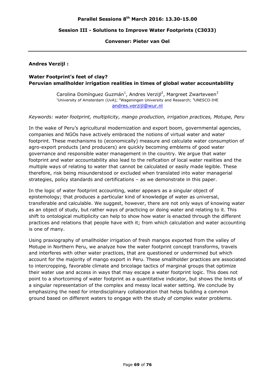## **Session III - Solutions to Improve Water Footprints (C3033)**

#### **Convener: Pieter van Oel**

## **Andres Verzijl :**

## **Water Footprint's feet of clay? Peruvian smallholder irrigation realities in times of global water accountability**

Carolina Domínguez Guzmán<sup>1</sup>, Andres Verzijl<sup>2</sup>, Margreet Zwarteveen<sup>3</sup> <sup>1</sup>University of Amsterdam (UvA); <sup>2</sup>Wageningen University and Research;  $3$ UNESCO-IHE andres.verzijl@wur.nl

#### *Keywords: water footprint, multiplicity, mango production, irrigation practices, Motupe, Peru*

In the wake of Peru's agricultural modernization and export boom, governmental agencies, companies and NGOs have actively embraced the notions of virtual water and water footprint. These mechanisms to (economically) measure and calculate water consumption of agro-export products (and producers) are quickly becoming emblems of good water governance and responsible water management in the country. We argue that water footprint and water accountability also lead to the reification of local water realities and the multiple ways of relating to water that cannot be calculated or easily made legible. These therefore, risk being misunderstood or excluded when translated into water managerial strategies, policy standards and certifications – as we demonstrate in this paper.

In the logic of water footprint accounting, water appears as a singular object of epistemology; that produces a particular kind of knowledge of water as universal, transferable and calculable. We suggest, however, there are not only ways of knowing water as an object of study, but rather ways of practicing or doing water and relating to it. This shift to ontological multiplicity can help to show how water is enacted through the different practices and relations that people have with it; from which calculation and water accounting is one of many.

Using praxiography of smallholder irrigation of fresh mangos exported from the valley of Motupe in Northern Peru, we analyze how the water footprint concept transforms, travels and interferes with other water practices, that are questioned or undermined but which account for the majority of mango export in Peru. These smallholder practices are associated to intercropping, favorable climate and bricolage tactics of marginal groups that optimize their water use and access in ways that may escape a water footprint logic. This does not point to a shortcoming of water footprint as a quantitative indicator, but shows the limits of a singular representation of the complex and messy local water setting. We conclude by emphasizing the need for interdisciplinary collaboration that helps building a common ground based on different waters to engage with the study of complex water problems.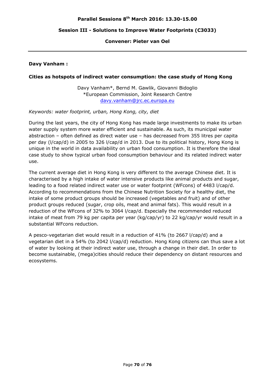### **Session III - Solutions to Improve Water Footprints (C3033)**

#### **Convener: Pieter van Oel**

#### **Davy Vanham :**

#### **Cities as hotspots of indirect water consumption: the case study of Hong Kong**

Davy Vanham\*, Bernd M. Gawlik, Giovanni Bidoglio \*European Commission, Joint Research Centre davy.vanham@jrc.ec.europa.eu

#### *Keywords: water footprint, urban, Hong Kong, city, diet*

During the last years, the city of Hong Kong has made large investments to make its urban water supply system more water efficient and sustainable. As such, its municipal water abstraction – often defined as direct water use – has decreased from 355 litres per capita per day (l/cap/d) in 2005 to 326 l/cap/d in 2013. Due to its political history, Hong Kong is unique in the world in data availability on urban food consumption. It is therefore the ideal case study to show typical urban food consumption behaviour and its related indirect water use.

The current average diet in Hong Kong is very different to the average Chinese diet. It is characterised by a high intake of water intensive products like animal products and sugar, leading to a food related indirect water use or water footprint (WFcons) of 4483 l/cap/d. According to recommendations from the Chinese Nutrition Society for a healthy diet, the intake of some product groups should be increased (vegetables and fruit) and of other product groups reduced (sugar, crop oils, meat and animal fats). This would result in a reduction of the WFcons of 32% to 3064 l/cap/d. Especially the recommended reduced intake of meat from 79 kg per capita per year (kg/cap/yr) to 22 kg/cap/yr would result in a substantial WFcons reduction.

A pesco-vegetarian diet would result in a reduction of 41% (to 2667 l/cap/d) and a vegetarian diet in a 54% (to 2042 l/cap/d) reduction. Hong Kong citizens can thus save a lot of water by looking at their indirect water use, through a change in their diet. In order to become sustainable, (mega)cities should reduce their dependency on distant resources and ecosystems.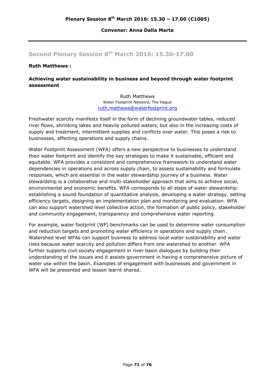### **Convener: Anna Dalla Marta**

# **Second Plenary Session 8th March 2016: 15.30-17.00**

#### **Ruth Matthews :**

## **Achieving water sustainability in business and beyond through water footprint assessment**

Ruth Matthews Water Footprint Netword, The Hague ruth.mathews@waterfootprint.org

Freshwater scarcity manifests itself in the form of declining groundwater tables, reduced river flows, shrinking lakes and heavily polluted waters, but also in the increasing costs of supply and treatment, intermittent supplies and conflicts over water. This poses a risk to businesses, affecting operations and supply chains.

Water Footprint Assessment (WFA) offers a new perspective to businesses to understand their water footprint and identify the key strategies to make it sustainable, efficient and equitable. WFA provides a consistent and comprehensive framework to understand water dependencies in operations and across supply chain, to assess sustainability and formulate responses, which are essential in the water stewardship journey of a business. Water stewardship is a collaborative and multi-stakeholder approach that aims to achieve social, environmental and economic benefits. WFA corresponds to all steps of water stewardship: establishing a sound foundation of quantitative analysis, developing a water strategy, setting efficiency targets, designing an implementation plan and monitoring and evaluation. WFA can also support watershed level collective action, the formation of public policy, stakeholder and community engagement, transparency and comprehensive water reporting.

For example, water footprint (WF) benchmarks can be used to determine water consumption and reduction targets and promoting water efficiency in operations and supply chain. Watershed level WFAs can support business to address local water sustainability and water risks because water scarcity and pollution differs from one watershed to another. WFA further supports civil society engagement in river basin dialogues by building their understanding of the issues and it assists government in having a comprehensive picture of water use within the basin. Examples of engagement with businesses and government in WFA will be presented and lesson learnt shared.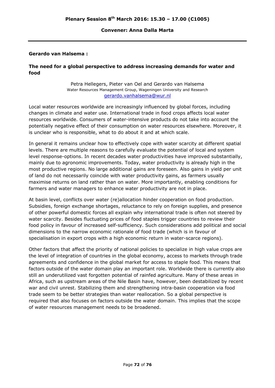### **Convener: Anna Dalla Marta**

## **Gerardo van Halsema :**

## **The need for a global perspective to address increasing demands for water and food**

Petra Hellegers, Pieter van Oel and Gerardo van Halsema Water Resources Management Group, Wageningen University and Research gerardo.vanhalsema@wur.nl

Local water resources worldwide are increasingly influenced by global forces, including changes in climate and water use. International trade in food crops affects local water resources worldwide. Consumers of water-intensive products do not take into account the potentially negative effect of their consumption on water resources elsewhere. Moreover, it is unclear who is responsible, what to do about it and at which scale.

In general it remains unclear how to effectively cope with water scarcity at different spatial levels. There are multiple reasons to carefully evaluate the potential of local and system level response-options. In recent decades water productivities have improved substantially, mainly due to agronomic improvements. Today, water productivity is already high in the most productive regions. No large additional gains are foreseen. Also gains in yield per unit of land do not necessarily coincide with water productivity gains, as farmers usually maximise returns on land rather than on water. More importantly, enabling conditions for farmers and water managers to enhance water productivity are not in place.

At basin level, conflicts over water (re)allocation hinder cooperation on food production. Subsidies, foreign exchange shortages, reluctance to rely on foreign supplies, and presence of other powerful domestic forces all explain why international trade is often not steered by water scarcity. Besides fluctuating prices of food staples trigger countries to review their food policy in favour of increased self-sufficiency. Such considerations add political and social dimensions to the narrow economic rationale of food trade (which is in favour of specialisation in export crops with a high economic return in water-scarce regions).

Other factors that affect the priority of national policies to specialize in high value crops are the level of integration of countries in the global economy, access to markets through trade agreements and confidence in the global market for access to staple food. This means that factors outside of the water domain play an important role. Worldwide there is currently also still an underutilized vast forgotten potential of rainfed agriculture. Many of these areas in Africa, such as upstream areas of the Nile Basin have, however, been destabilized by recent war and civil unrest. Stabilizing them and strengthening intra-basin cooperation via food trade seem to be better strategies than water reallocation. So a global perspective is required that also focuses on factors outside the water domain. This implies that the scope of water resources management needs to be broadened.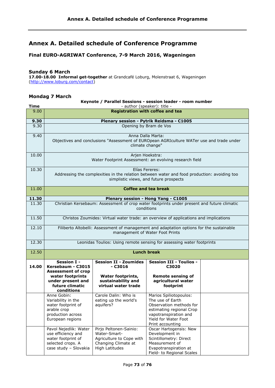# **Annex A. Detailed schedule of Conference Programme**

## **Final EURO-AGRIWAT Conference, 7-9 March 2016, Wageningen**

### **Sunday 6 March**

**17.00-18.00 Informal get-together** at Grandcafé Loburg, Molenstraat 6, Wageningen (http://www.loburg.com/contact)

## **Mondag 7 March**

#### **Time Keynote / Parallel Sessions - session leader - room number**  - author (speaker): title - 9.00 **Registration with coffee and tea 9.30 Plenary session - Pytrik Reidsma - C1005**  9.30 Opening by Bram de Vos 9.40 Anna Dalla Marta: Objectives and conclusions "Assessment of EUROpean AGRIculture WATer use and trade under climate change" 10.00 Arien Hoekstra: Water Footprint Assessment: an evolving research field 10.30 Elías Fereres: Addressing the complexities in the relation between water and food production: avoiding too simplistic views, and future prospects 11.00 **Coffee and tea break 11.30 Plenary session - Hong Yang - C1005**  11.30 Christian Kersebaum: Assessment of crop water footprints under present and future climatic conditions 11.50 Christos Zoumides: Virtual water trade: an overview of applications and implications 12.10 Filiberto Altobelli: Assessment of management and adaptation options for the sustainable management of Water Foot Prints 12.30 Leonidas Toulios: Using remote sensing for assessing water footprints 12.50 **Lunch break 14.00 Session I - Kersebaum - C3015 Assessment of crop water footprints under present and future climatic conditions Session II - Zoumides - C3016 Water footprints, sustainability and virtual water trade Session III - Toulios - C3020 Remote sensing of agricultural water footprint**  Anne Gobin: Variability in the water footprint of arable crop production across European regions Carole Dalin: Who is eating up the world's aquifers? Marios Spiliotopoulos: The use of Earth Observation methods for estimating regional Crop vapotranspiration and Yield for Water Foot Print accounting Pavol Nejedlik: Water use efficiency and water footprint of selected crops. A case study – Slovakia Pirjo Peltonen-Sainio: Water-Smart-Agriculture to Cope with Changing Climate at High Latitudes Oscar Hartogensis: New Development in Scintillometry: Direct Measurement of Evapotranspiration at Field- to Regional Scales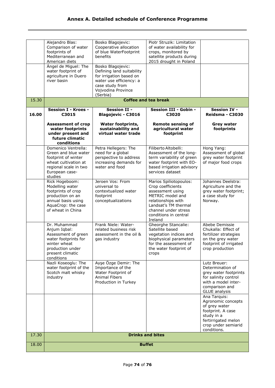|       | Alejandro Blas:<br>Comparison of water<br>footprints of<br>Mediterranean and<br>American diets<br>Ángel de Miguel: The<br>water footprint of<br>agriculture in Duero | Bosko Blagojevic:<br>Cooperative allocation<br>of blue WaterFootprint<br>benefits<br>Bosko Blagojevic:<br>Defining land suitability<br>for irrigation based on | Piotr Struzik: Limitation<br>of water availability for<br>crops, monitored by<br>satellite products during<br>2015 drought in Poland                                                          |                                                                                                                                                     |
|-------|----------------------------------------------------------------------------------------------------------------------------------------------------------------------|----------------------------------------------------------------------------------------------------------------------------------------------------------------|-----------------------------------------------------------------------------------------------------------------------------------------------------------------------------------------------|-----------------------------------------------------------------------------------------------------------------------------------------------------|
|       | river basin                                                                                                                                                          | water use efficiency: a<br>case study from<br>Vojvodina Province<br>(Serbia)                                                                                   |                                                                                                                                                                                               |                                                                                                                                                     |
| 15.30 | <b>Coffee and tea break</b>                                                                                                                                          |                                                                                                                                                                |                                                                                                                                                                                               |                                                                                                                                                     |
| 16.00 | <b>Session I - Kroes -</b><br>C3015                                                                                                                                  | <b>Session II -</b><br><b>Blagojevic - C3016</b>                                                                                                               | Session III - Gobin -<br>C3020                                                                                                                                                                | <b>Session IV -</b><br>Reidsma - C3030                                                                                                              |
|       | <b>Assessment of crop</b><br>water footprints<br>under present and<br>future climatic<br>conditions                                                                  | <b>Water footprints,</b><br>sustainability and<br>virtual water trade                                                                                          | <b>Remote sensing of</b><br>agricultural water<br>footprint                                                                                                                                   | <b>Grey water</b><br>footprints                                                                                                                     |
|       | Domenico Ventrella:<br>Green and blue water<br>footprint of winter<br>wheat cultivation at<br>regional scale in two<br>European case-<br>studies                     | Petra Hellegers: The<br>need for a global<br>perspective to address<br>increasing demands for<br>water and food                                                | Filiberto Altobelli:<br>Assessment of the long-<br>term variability of green<br>water footprint with EO-<br>based irrigation advisory<br>services dataset                                     | Hong Yang:<br>Assessment of global<br>grey water footprint<br>of major food crops                                                                   |
|       | Rick Hogeboom:<br>Modelling water<br>footprints of crop<br>production on an<br>annual basis using<br>AquaCrop: the case<br>of wheat in China                         | Jeroen Vos: From<br>universal to<br>contextualized water<br>footprint<br>conceptualizations                                                                    | Marios Spiliotopoulos:<br>Crop coefficients<br>assessment using<br>METRIC model and<br>relationships with<br>Landsat's TM thermal<br>channel under stress<br>conditions in central<br>Ireland | Johannes Deelstra:<br>Agriculture and the<br>grey water footprint;<br>a case study for<br>Norway.                                                   |
|       | Dr. Muhammad<br>Anjum Iqbal:<br>Assessment of green<br>water footprints for<br>winter wheat<br>production under<br>present climatic<br>conditions                    | Frank Niele: Water-<br>related business risk<br>assessment in the oil &<br>gas industry                                                                        | <b>Gheorghe Stancalie:</b><br>Satellite based<br>vegetation indices and<br>biophysical parameters<br>for the assessment of<br>the water footprint of<br>crops                                 | Abebe Demissie<br>Chukalla: Effect of<br>fertilizer strategies<br>on the grey water<br>footprint of irrigated<br>crop production                    |
|       | Nazli Koseoglu: The<br>water footprint of the<br>Scotch malt whisky<br>industry                                                                                      | Ayşe Özge Demir: The<br>Importance of the<br>Water Footprint of<br><b>Animal Fibers</b><br>Production in Turkey                                                |                                                                                                                                                                                               | Lutz Breuer:<br>Determination of<br>grey water footprints<br>for salinity control<br>with a model inter-<br>comparison and<br><b>GLUE</b> analysis  |
|       |                                                                                                                                                                      |                                                                                                                                                                |                                                                                                                                                                                               | Ana Tarquis:<br>Agronomic concepts<br>of grey water<br>footprint. A case<br>study in a<br>fertirrigated melon<br>crop under semiarid<br>conditions. |
| 17.30 | <b>Drinks and bites</b>                                                                                                                                              |                                                                                                                                                                |                                                                                                                                                                                               |                                                                                                                                                     |
| 18.00 | <b>Buffet</b>                                                                                                                                                        |                                                                                                                                                                |                                                                                                                                                                                               |                                                                                                                                                     |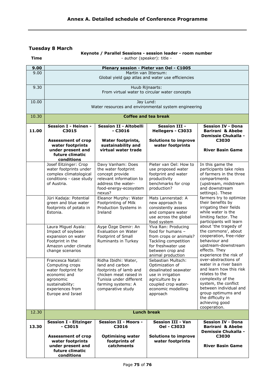## **Tuesday 8 March**

**Time** 

### **Keynote / Parallel Sessions - session leader - room number**  - author (speaker): title -

| 9.00  | Plenary session - Pieter van Oel - C1005                                                                                                             |                                                                                                                                                                   |                                                                                                                                                                 |                                                                                                                                                                                                                                                 |  |
|-------|------------------------------------------------------------------------------------------------------------------------------------------------------|-------------------------------------------------------------------------------------------------------------------------------------------------------------------|-----------------------------------------------------------------------------------------------------------------------------------------------------------------|-------------------------------------------------------------------------------------------------------------------------------------------------------------------------------------------------------------------------------------------------|--|
| 9.00  | Martin van Ittersum:<br>Global yield gap atlas and water use efficiencies                                                                            |                                                                                                                                                                   |                                                                                                                                                                 |                                                                                                                                                                                                                                                 |  |
| 9.30  | Huub Rijnaarts:<br>From virtual water to circular water concepts                                                                                     |                                                                                                                                                                   |                                                                                                                                                                 |                                                                                                                                                                                                                                                 |  |
| 10.00 | Jay Lund:<br>Water resources and environmental system engineering                                                                                    |                                                                                                                                                                   |                                                                                                                                                                 |                                                                                                                                                                                                                                                 |  |
| 10.30 | <b>Coffee and tea break</b>                                                                                                                          |                                                                                                                                                                   |                                                                                                                                                                 |                                                                                                                                                                                                                                                 |  |
| 11.00 | Session I - Heinen -<br>C3015                                                                                                                        | <b>Session II - Altobelli</b><br>- C3016                                                                                                                          | <b>Session III -</b><br>Hellegers - C3033                                                                                                                       | <b>Session IV - Dona</b><br><b>Barirani &amp; Abebe</b><br><b>Demissie Chukalla -</b>                                                                                                                                                           |  |
|       | <b>Assessment of crop</b><br>water footprints<br>under present and<br>future climatic<br>conditions                                                  | <b>Water footprints,</b><br>sustainability and<br>virtual water trade                                                                                             | <b>Solutions to improve</b><br>water footprints                                                                                                                 | C3030<br><b>River Basin Game</b>                                                                                                                                                                                                                |  |
|       | Josef Eitzinger: Crop<br>water footprints under<br>complex climatological<br>conditions - case study<br>of Austria.                                  | Davy Vanham: Does<br>the water footprint<br>concept provide<br>relevant information to<br>address the water-<br>food-energy-ecosystem<br>nexus?                   | Pieter van Oel: How to<br>use proposed water<br>footprint and water<br>productivity<br>benchmarks for crop<br>production?                                       | In this game the<br>participants take roles<br>of farmers in the three<br>compartments<br>(upstream, midstream<br>and downstream<br>settings). These                                                                                            |  |
|       | Jüri Kadaja: Potential<br>green and blue water<br>footprints of potato in<br>Estonia.                                                                | Eleanor Murphy: Water<br>Footprinting of Milk<br>Production Systems in<br>Ireland                                                                                 | Mats Lannerstad: A<br>new approach to<br>consistently assess<br>and compare water<br>use across the global<br>food system                                       | farmers try to optimize<br>their benefits by<br>irrigating their fields<br>while water is the<br>limiting factor. The<br>participants will learn                                                                                                |  |
|       | Laura Miguel Ayala:<br>Impact of soybean<br>expansion on water<br>Footprint in the<br>Amazon under climate<br>change scenarios                       | Ayşe Özge Demir: An<br>Evaluation on Water<br>Footprint of Small<br>Ruminants in Turkey                                                                           | Ylva Ran: Producing<br>food for humans -<br>from crops or animals?<br>Tackling competition<br>for freshwater use<br>between crop and<br>animal production       | about 'the tragedy of<br>the commons', about<br>cooperation, free-rider<br>behaviour and<br>upstream-downstream<br>effects. They<br>experience the risk of                                                                                      |  |
|       | Francesca Natali:<br>Computing crops<br>water footprint for<br>economic and<br>agronomic<br>sustainability:<br>experiences from<br>Europe and Israel | Ridha Ibidhi: Water,<br>land and carbon<br>footprints of lamb and<br>chicken meat raised in<br>Tunisia under different<br>farming systems: A<br>comparative study | Sebastian Multsch:<br>Optimization of<br>desalinated seawater<br>use in irrigation<br>agriculture by a<br>coupled crop water-<br>economic modelling<br>approach | over-abstractions of<br>water in a river basin<br>and learn how this risk<br>relates to the<br>complexity of the<br>system, the conflict<br>between individual and<br>group optimums and<br>the difficulty in<br>achieving good<br>cooperation. |  |
| 12.30 |                                                                                                                                                      |                                                                                                                                                                   | <b>Lunch break</b>                                                                                                                                              |                                                                                                                                                                                                                                                 |  |
| 13.30 | <b>Session I - Eitzinger</b><br>$- C3015$<br><b>Assessment of crop</b><br>water footprints<br>under present and<br>future climatic<br>conditions     | <b>Session II - Moors -</b><br>C3016<br><b>Optimising water</b><br>footprints of<br>catchments                                                                    | <b>Session III - Van</b><br>Oel - C3033<br><b>Solutions to improve</b><br>water footprints                                                                      | <b>Session IV - Dona</b><br><b>Barirani &amp; Abebe</b><br><b>Demissie Chukalla -</b><br>C3030<br><b>River Basin Game</b>                                                                                                                       |  |